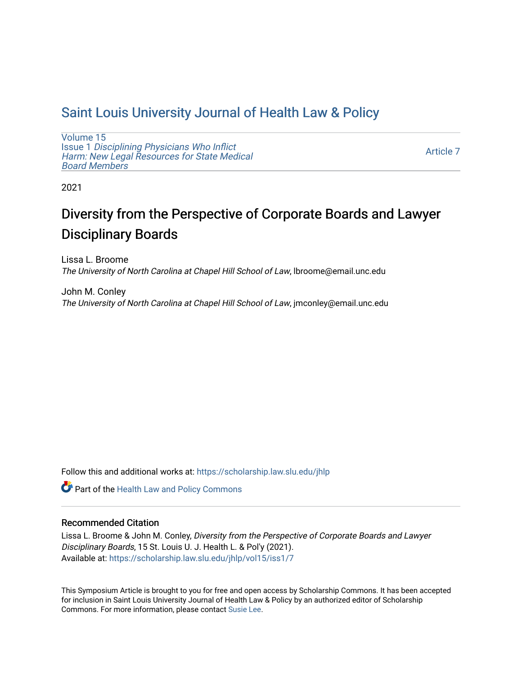# [Saint Louis University Journal of Health Law & Policy](https://scholarship.law.slu.edu/jhlp)

[Volume 15](https://scholarship.law.slu.edu/jhlp/vol15) Issue 1 [Disciplining Physicians Who Inflict](https://scholarship.law.slu.edu/jhlp/vol15/iss1)  [Harm: New Legal Resources for State Medical](https://scholarship.law.slu.edu/jhlp/vol15/iss1) [Board Members](https://scholarship.law.slu.edu/jhlp/vol15/iss1)

[Article 7](https://scholarship.law.slu.edu/jhlp/vol15/iss1/7) 

2021

# Diversity from the Perspective of Corporate Boards and Lawyer Disciplinary Boards

Lissa L. Broome The University of North Carolina at Chapel Hill School of Law, lbroome@email.unc.edu

John M. Conley The University of North Carolina at Chapel Hill School of Law, jmconley@email.unc.edu

Follow this and additional works at: [https://scholarship.law.slu.edu/jhlp](https://scholarship.law.slu.edu/jhlp?utm_source=scholarship.law.slu.edu%2Fjhlp%2Fvol15%2Fiss1%2F7&utm_medium=PDF&utm_campaign=PDFCoverPages)

Part of the [Health Law and Policy Commons](http://network.bepress.com/hgg/discipline/901?utm_source=scholarship.law.slu.edu%2Fjhlp%2Fvol15%2Fiss1%2F7&utm_medium=PDF&utm_campaign=PDFCoverPages) 

# Recommended Citation

Lissa L. Broome & John M. Conley, Diversity from the Perspective of Corporate Boards and Lawyer Disciplinary Boards, 15 St. Louis U. J. Health L. & Pol'y (2021). Available at: [https://scholarship.law.slu.edu/jhlp/vol15/iss1/7](https://scholarship.law.slu.edu/jhlp/vol15/iss1/7?utm_source=scholarship.law.slu.edu%2Fjhlp%2Fvol15%2Fiss1%2F7&utm_medium=PDF&utm_campaign=PDFCoverPages) 

This Symposium Article is brought to you for free and open access by Scholarship Commons. It has been accepted for inclusion in Saint Louis University Journal of Health Law & Policy by an authorized editor of Scholarship Commons. For more information, please contact [Susie Lee](mailto:susie.lee@slu.edu).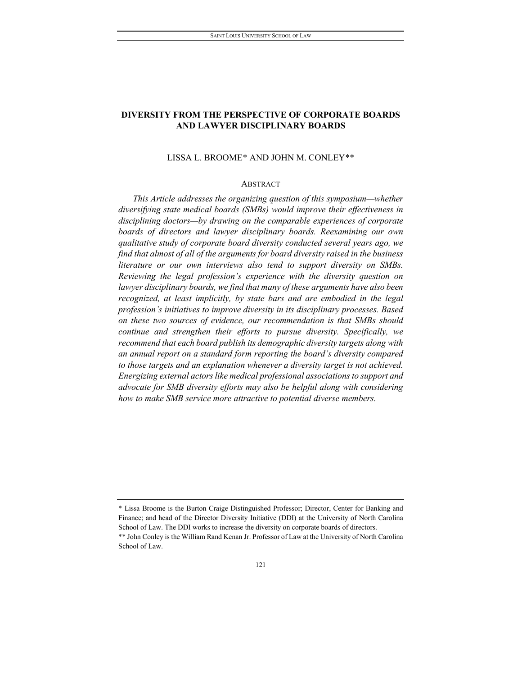# **DIVERSITY FROM THE PERSPECTIVE OF CORPORATE BOARDS AND LAWYER DISCIPLINARY BOARDS**

#### LISSA L. BROOME\* AND JOHN M. CONLEY[\\*\\*](#page-1-0)

### ABSTRACT

*This Article addresses the organizing question of this symposium—whether diversifying state medical boards (SMBs) would improve their effectiveness in disciplining doctors—by drawing on the comparable experiences of corporate boards of directors and lawyer disciplinary boards. Reexamining our own qualitative study of corporate board diversity conducted several years ago, we find that almost of all of the arguments for board diversity raised in the business literature or our own interviews also tend to support diversity on SMBs. Reviewing the legal profession's experience with the diversity question on lawyer disciplinary boards, we find that many of these arguments have also been recognized, at least implicitly, by state bars and are embodied in the legal profession's initiatives to improve diversity in its disciplinary processes. Based on these two sources of evidence, our recommendation is that SMBs should continue and strengthen their efforts to pursue diversity. Specifically, we recommend that each board publish its demographic diversity targets along with an annual report on a standard form reporting the board's diversity compared to those targets and an explanation whenever a diversity target is not achieved. Energizing external actors like medical professional associations to support and advocate for SMB diversity efforts may also be helpful along with considering how to make SMB service more attractive to potential diverse members.*

<span id="page-1-0"></span><sup>\*</sup> Lissa Broome is the Burton Craige Distinguished Professor; Director, Center for Banking and Finance; and head of the Director Diversity Initiative (DDI) at the University of North Carolina School of Law. The DDI works to increase the diversity on corporate boards of directors. \*\* John Conley is the William Rand Kenan Jr. Professor of Law at the University of North Carolina School of Law.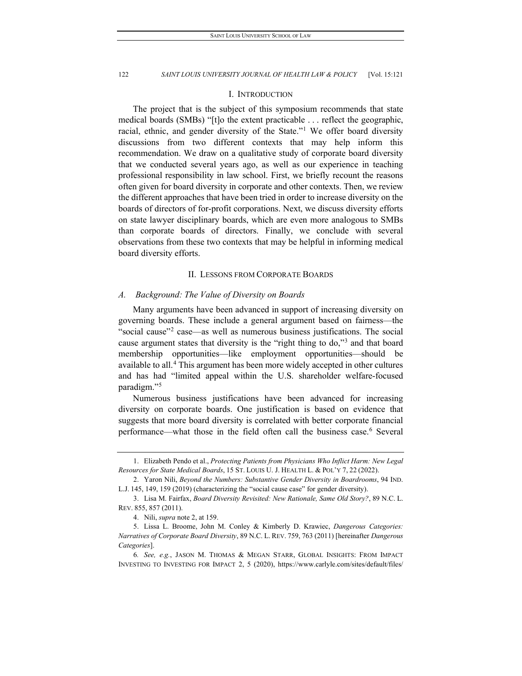#### I. INTRODUCTION

The project that is the subject of this symposium recommends that state medical boards (SMBs) "[t]o the extent practicable . . . reflect the geographic, racial, ethnic, and gender diversity of the State."<sup>[1](#page-2-0)</sup> We offer board diversity discussions from two different contexts that may help inform this recommendation. We draw on a qualitative study of corporate board diversity that we conducted several years ago, as well as our experience in teaching professional responsibility in law school. First, we briefly recount the reasons often given for board diversity in corporate and other contexts. Then, we review the different approaches that have been tried in order to increase diversity on the boards of directors of for-profit corporations. Next, we discuss diversity efforts on state lawyer disciplinary boards, which are even more analogous to SMBs than corporate boards of directors. Finally, we conclude with several observations from these two contexts that may be helpful in informing medical board diversity efforts.

#### II. LESSONS FROM CORPORATE BOARDS

#### *A. Background: The Value of Diversity on Boards*

Many arguments have been advanced in support of increasing diversity on governing boards. These include a general argument based on fairness—the "social cause"<sup>2</sup> case—as well as numerous business justifications. The social cause argument states that diversity is the "right thing to do,["3](#page-2-2) and that board membership opportunities—like employment opportunities—should be available to all.<sup>[4](#page-2-3)</sup> This argument has been more widely accepted in other cultures and has had "limited appeal within the U.S. shareholder welfare-focused paradigm.["5](#page-2-4)

Numerous business justifications have been advanced for increasing diversity on corporate boards. One justification is based on evidence that suggests that more board diversity is correlated with better corporate financial performance—what those in the field often call the business case.<sup>[6](#page-2-5)</sup> Several

<span id="page-2-0"></span><sup>1.</sup> Elizabeth Pendo et al., *Protecting Patients from Physicians Who Inflict Harm: New Legal Resources for State Medical Boards*, 15 ST. LOUIS U. J. HEALTH L. & POL'Y 7, 22 (2022).

<span id="page-2-1"></span><sup>2.</sup> Yaron Nili, *Beyond the Numbers: Substantive Gender Diversity in Boardrooms*, 94 IND. L.J. 145, 149, 159 (2019) (characterizing the "social cause case" for gender diversity).

<span id="page-2-2"></span><sup>3.</sup> Lisa M. Fairfax, *Board Diversity Revisited: New Rationale, Same Old Story?*, 89 N.C. L. REV. 855, 857 (2011).

<sup>4.</sup> Nili, *supra* note 2, at 159.

<span id="page-2-4"></span><span id="page-2-3"></span><sup>5.</sup> Lissa L. Broome, John M. Conley & Kimberly D. Krawiec, *Dangerous Categories: Narratives of Corporate Board Diversity*, 89 N.C. L. REV. 759, 763 (2011) [hereinafter *Dangerous Categories*].

<span id="page-2-5"></span><sup>6</sup>*. See, e.g.*, JASON M. THOMAS & MEGAN STARR, GLOBAL INSIGHTS: FROM IMPACT INVESTING TO INVESTING FOR IMPACT 2, 5 (2020), https://www.carlyle.com/sites/default/files/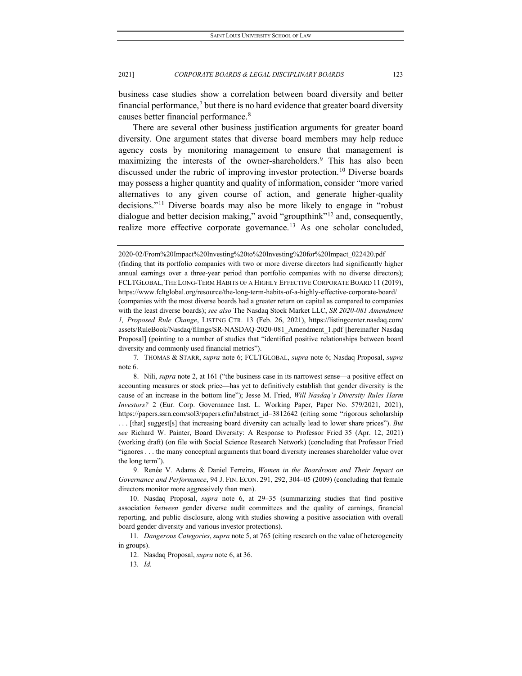business case studies show a correlation between board diversity and better financial performance,<sup>[7](#page-3-0)</sup> but there is no hard evidence that greater board diversity causes better financial performance.[8](#page-3-1)

There are several other business justification arguments for greater board diversity. One argument states that diverse board members may help reduce agency costs by monitoring management to ensure that management is maximizing the interests of the owner-shareholders.<sup>[9](#page-3-2)</sup> This has also been discussed under the rubric of improving investor protection.<sup>[10](#page-3-3)</sup> Diverse boards may possess a higher quantity and quality of information, consider "more varied alternatives to any given course of action, and generate higher-quality decisions."[11](#page-3-4) Diverse boards may also be more likely to engage in "robust dialogue and better decision making," avoid "groupthink"<sup>[12](#page-3-5)</sup> and, consequently, realize more effective corporate governance.<sup>[13](#page-3-6)</sup> As one scholar concluded,

<span id="page-3-2"></span>9. Renée V. Adams & Daniel Ferreira, *Women in the Boardroom and Their Impact on Governance and Performance*, 94 J. FIN. ECON. 291, 292, 304–05 (2009) (concluding that female directors monitor more aggressively than men).

<span id="page-3-3"></span>10. Nasdaq Proposal, *supra* note 6, at 29–35 (summarizing studies that find positive association *between* gender diverse audit committees and the quality of earnings, financial reporting, and public disclosure, along with studies showing a positive association with overall board gender diversity and various investor protections).

<span id="page-3-6"></span><span id="page-3-5"></span><span id="page-3-4"></span>11*. Dangerous Categories*, *supra* note 5, at 765 (citing research on the value of heterogeneity in groups).

12. Nasdaq Proposal, *supra* note 6, at 36.

13*. Id.*

<sup>2020-02/</sup>From%20Impact%20Investing%20to%20Investing%20for%20Impact\_022420.pdf (finding that its portfolio companies with two or more diverse directors had significantly higher annual earnings over a three-year period than portfolio companies with no diverse directors); FCLTGLOBAL, THE LONG-TERM HABITS OF A HIGHLY EFFECTIVE CORPORATE BOARD 11 (2019), https://www.fcltglobal.org/resource/the-long-term-habits-of-a-highly-effective-corporate-board/ (companies with the most diverse boards had a greater return on capital as compared to companies with the least diverse boards); *see also* The Nasdaq Stock Market LLC, *SR 2020-081 Amendment 1, Proposed Rule Change*, LISTING CTR. 13 (Feb. 26, 2021), https://listingcenter.nasdaq.com/ assets/RuleBook/Nasdaq/filings/SR-NASDAQ-2020-081\_Amendment\_1.pdf [hereinafter Nasdaq Proposal] (pointing to a number of studies that "identified positive relationships between board diversity and commonly used financial metrics").

<span id="page-3-0"></span><sup>7</sup>*.* THOMAS & STARR, *supra* note 6; FCLTGLOBAL, *supra* note 6; Nasdaq Proposal, *supra* note 6.

<span id="page-3-1"></span><sup>8.</sup> Nili, *supra* note 2, at 161 ("the business case in its narrowest sense—a positive effect on accounting measures or stock price—has yet to definitively establish that gender diversity is the cause of an increase in the bottom line"); Jesse M. Fried, *Will Nasdaq's Diversity Rules Harm Investors?* 2 (Eur. Corp. Governance Inst. L. Working Paper, Paper No. 579/2021, 2021), https://papers.ssrn.com/sol3/papers.cfm?abstract\_id=3812642 (citing some "rigorous scholarship . . . [that] suggest[s] that increasing board diversity can actually lead to lower share prices"). *But see* Richard W. Painter, Board Diversity: A Response to Professor Fried 35 (Apr. 12, 2021) (working draft) (on file with Social Science Research Network) (concluding that Professor Fried "ignores . . . the many conceptual arguments that board diversity increases shareholder value over the long term").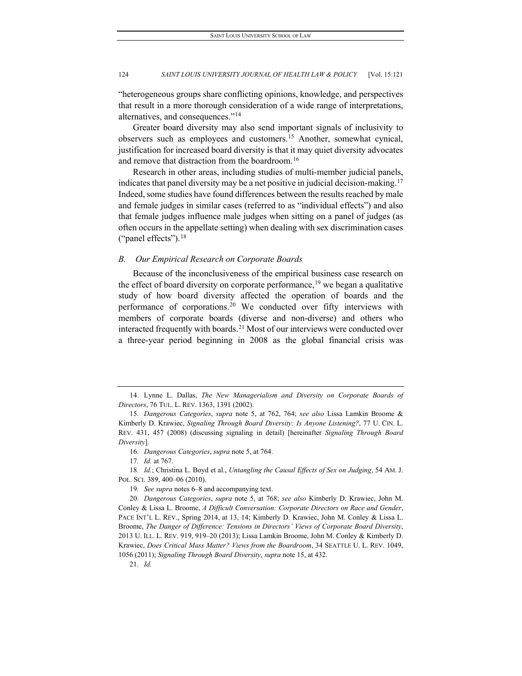"heterogeneous groups share conflicting opinions, knowledge, and perspectives that result in a more thorough consideration of a wide range of interpretations, alternatives, and consequences."[14](#page-4-0)

Greater board diversity may also send important signals of inclusivity to observers such as employees and customers.[15](#page-4-1) Another, somewhat cynical, justification for increased board diversity is that it may quiet diversity advocates and remove that distraction from the boardroom.[16](#page-4-2)

Research in other areas, including studies of multi-member judicial panels, indicates that panel diversity may be a net positive in judicial decision-making.<sup>[17](#page-4-3)</sup> Indeed, some studies have found differences between the results reached by male and female judges in similar cases (referred to as "individual effects") and also that female judges influence male judges when sitting on a panel of judges (as often occurs in the appellate setting) when dealing with sex discrimination cases ("panel effects").[18](#page-4-4)

#### *B. Our Empirical Research on Corporate Boards*

Because of the inconclusiveness of the empirical business case research on the effect of board diversity on corporate performance,<sup>[19](#page-4-5)</sup> we began a qualitative study of how board diversity affected the operation of boards and the performance of corporations.<sup>[20](#page-4-6)</sup> We conducted over fifty interviews with members of corporate boards (diverse and non-diverse) and others who interacted frequently with boards.<sup>[21](#page-4-7)</sup> Most of our interviews were conducted over a three-year period beginning in 2008 as the global financial crisis was

17*. Id.* at 767.

<span id="page-4-4"></span><span id="page-4-3"></span><span id="page-4-2"></span>18*. Id.*; Christina L. Boyd et al., *Untangling the Causal Effects of Sex on Judging*, 54 AM. J. POL. SCI. 389, 400–06 (2010).

19*. See supra* notes 6–8 and accompanying text.

<span id="page-4-6"></span><span id="page-4-5"></span>20*. Dangerous Categories*, *supra* note 5, at 768; *see also* Kimberly D. Krawiec, John M. Conley & Lissa L. Broome, *A Difficult Conversation: Corporate Directors on Race and Gender*, PACE INT'L L. REV., Spring 2014, at 13, 14; Kimberly D. Krawiec, John M. Conley & Lissa L. Broome, *The Danger of Difference: Tensions in Directors' Views of Corporate Board Diversity*, 2013 U. ILL. L. REV. 919, 919–20 (2013); Lissa Lamkin Broome, John M. Conley & Kimberly D. Krawiec, *Does Critical Mass Matter? Views from the Boardroom*, 34 SEATTLE U. L. REV. 1049, 1056 (2011); *Signaling Through Board Diversity*, *supra* note 15, at 432.

<span id="page-4-7"></span>21*. Id.*

<span id="page-4-0"></span><sup>14.</sup> Lynne L. Dallas, *The New Managerialism and Diversity on Corporate Boards of Directors*, 76 TUL. L. REV. 1363, 1391 (2002).

<span id="page-4-1"></span><sup>15</sup>*. Dangerous Categories*, *supra* note 5, at 762, 764; *see also* Lissa Lamkin Broome & Kimberly D. Krawiec, *Signaling Through Board Diversity: Is Anyone Listening?*, 77 U. CIN. L. REV. 431, 457 (2008) (discussing signaling in detail) [hereinafter *Signaling Through Board Diversity*].

<sup>16</sup>*. Dangerous Categories*, *supra* note 5, at 764.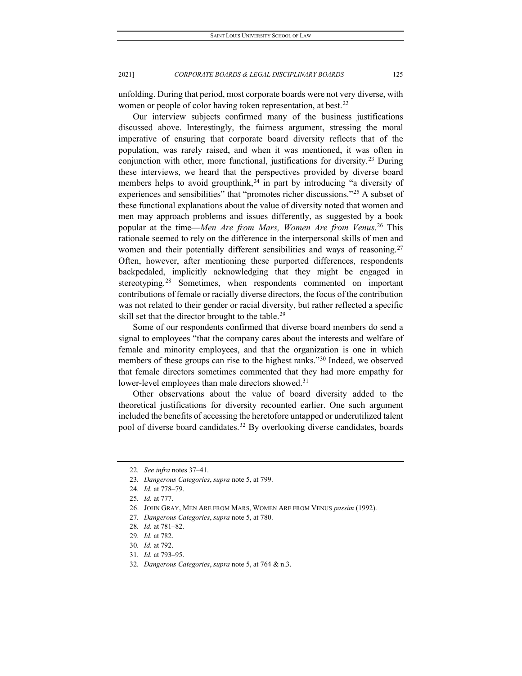unfolding. During that period, most corporate boards were not very diverse, with women or people of color having token representation, at best.<sup>[22](#page-5-0)</sup>

Our interview subjects confirmed many of the business justifications discussed above. Interestingly, the fairness argument, stressing the moral imperative of ensuring that corporate board diversity reflects that of the population, was rarely raised, and when it was mentioned, it was often in conjunction with other, more functional, justifications for diversity.[23](#page-5-1) During these interviews, we heard that the perspectives provided by diverse board members helps to avoid groupthink,<sup>[24](#page-5-2)</sup> in part by introducing "a diversity of experiences and sensibilities" that "promotes richer discussions."[25](#page-5-3) A subset of these functional explanations about the value of diversity noted that women and men may approach problems and issues differently, as suggested by a book popular at the time—*Men Are from Mars, Women Are from Venus*. [26](#page-5-4) This rationale seemed to rely on the difference in the interpersonal skills of men and women and their potentially different sensibilities and ways of reasoning.<sup>[27](#page-5-5)</sup> Often, however, after mentioning these purported differences, respondents backpedaled, implicitly acknowledging that they might be engaged in stereotyping.<sup>[28](#page-5-6)</sup> Sometimes, when respondents commented on important contributions of female or racially diverse directors, the focus of the contribution was not related to their gender or racial diversity, but rather reflected a specific skill set that the director brought to the table.<sup>[29](#page-5-7)</sup>

Some of our respondents confirmed that diverse board members do send a signal to employees "that the company cares about the interests and welfare of female and minority employees, and that the organization is one in which members of these groups can rise to the highest ranks."[30](#page-5-8) Indeed, we observed that female directors sometimes commented that they had more empathy for lower-level employees than male directors showed.<sup>[31](#page-5-9)</sup>

Other observations about the value of board diversity added to the theoretical justifications for diversity recounted earlier. One such argument included the benefits of accessing the heretofore untapped or underutilized talent pool of diverse board candidates.<sup>[32](#page-5-10)</sup> By overlooking diverse candidates, boards

<span id="page-5-0"></span><sup>22</sup>*. See infra* notes 37–41.

<span id="page-5-2"></span><span id="page-5-1"></span><sup>23</sup>*. Dangerous Categories*, *supra* note 5, at 799.

<sup>24</sup>*. Id.* at 778–79.

<span id="page-5-3"></span><sup>25</sup>*. Id.* at 777.

<span id="page-5-4"></span><sup>26.</sup> JOHN GRAY, MEN ARE FROM MARS, WOMEN ARE FROM VENUS *passim* (1992).

<span id="page-5-5"></span><sup>27</sup>*. Dangerous Categories*, *supra* note 5, at 780.

<span id="page-5-6"></span><sup>28</sup>*. Id.* at 781–82.

<span id="page-5-7"></span><sup>29</sup>*. Id.* at 782.

<span id="page-5-8"></span><sup>30</sup>*. Id.* at 792.

<span id="page-5-9"></span><sup>31</sup>*. Id.* at 793–95.

<span id="page-5-10"></span><sup>32</sup>*. Dangerous Categories*, *supra* note 5, at 764 & n.3.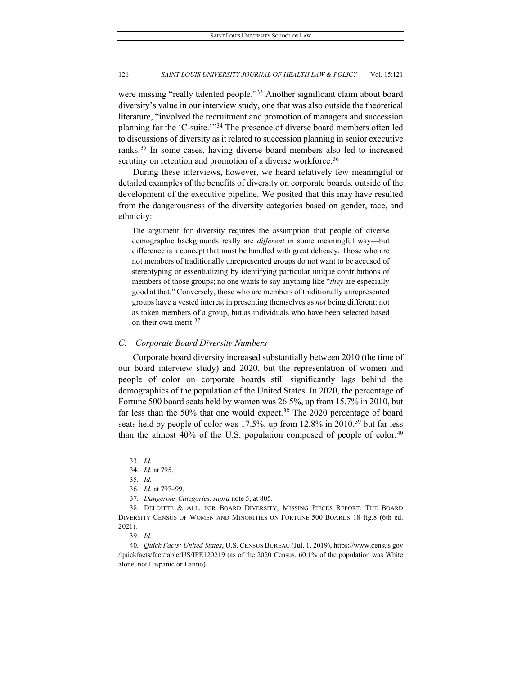were missing "really talented people."<sup>[33](#page-6-0)</sup> Another significant claim about board diversity's value in our interview study, one that was also outside the theoretical literature, "involved the recruitment and promotion of managers and succession planning for the 'C-suite.'"[34](#page-6-1) The presence of diverse board members often led to discussions of diversity as it related to succession planning in senior executive ranks.[35](#page-6-2) In some cases, having diverse board members also led to increased scrutiny on retention and promotion of a diverse workforce.<sup>[36](#page-6-3)</sup>

During these interviews, however, we heard relatively few meaningful or detailed examples of the benefits of diversity on corporate boards, outside of the development of the executive pipeline. We posited that this may have resulted from the dangerousness of the diversity categories based on gender, race, and ethnicity:

The argument for diversity requires the assumption that people of diverse demographic backgrounds really are *different* in some meaningful way—but difference is a concept that must be handled with great delicacy. Those who are not members of traditionally unrepresented groups do not want to be accused of stereotyping or essentializing by identifying particular unique contributions of members of those groups; no one wants to say anything like "*they* are especially good at that." Conversely, those who are members of traditionally unrepresented groups have a vested interest in presenting themselves as *not* being different: not as token members of a group, but as individuals who have been selected based on their own merit. $37$ 

# *C. Corporate Board Diversity Numbers*

Corporate board diversity increased substantially between 2010 (the time of our board interview study) and 2020, but the representation of women and people of color on corporate boards still significantly lags behind the demographics of the population of the United States. In 2020, the percentage of Fortune 500 board seats held by women was 26.5%, up from 15.7% in 2010, but far less than the 50% that one would expect.<sup>[38](#page-6-5)</sup> The 2020 percentage of board seats held by people of color was 17.5%, up from 12.8% in 2010,<sup>[39](#page-6-6)</sup> but far less than the almost  $40\%$  $40\%$  of the U.S. population composed of people of color.<sup>40</sup>

<sup>33</sup>*. Id.*

<sup>34</sup>*. Id.* at 795.

<sup>35</sup>*. Id.*

<sup>36</sup>*. Id.* at 797–99.

<sup>37</sup>*. Dangerous Categories*, *supra* note 5, at 805.

<span id="page-6-5"></span><span id="page-6-4"></span><span id="page-6-3"></span><span id="page-6-2"></span><span id="page-6-1"></span><span id="page-6-0"></span><sup>38.</sup> DELOITTE & ALL. FOR BOARD DIVERSITY, MISSING PIECES REPORT: THE BOARD DIVERSITY CENSUS OF WOMEN AND MINORITIES ON FORTUNE 500 BOARDS 18 fig.8 (6th ed. 2021).

<sup>39</sup>*. Id.*

<span id="page-6-7"></span><span id="page-6-6"></span><sup>40</sup>*. Quick Facts: United States*, U.S. CENSUS BUREAU (Jul. 1, 2019), https://www.census gov /quickfacts/fact/table/US/IPE120219 (as of the 2020 Census, 60.1% of the population was White alone, not Hispanic or Latino).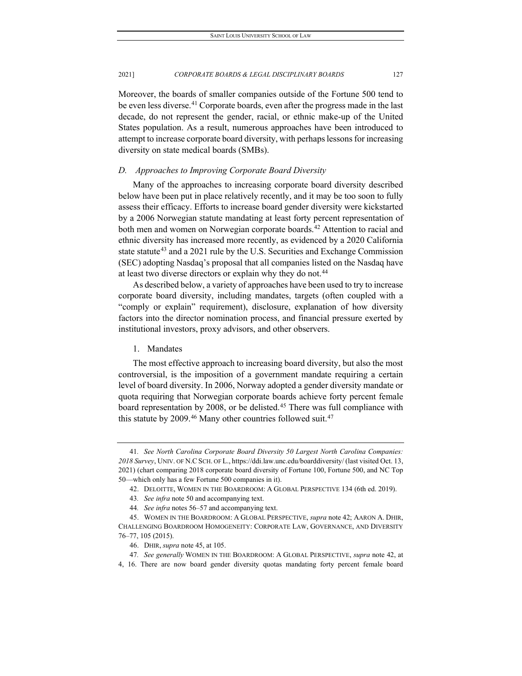Moreover, the boards of smaller companies outside of the Fortune 500 tend to be even less diverse.<sup>[41](#page-7-0)</sup> Corporate boards, even after the progress made in the last decade, do not represent the gender, racial, or ethnic make-up of the United States population. As a result, numerous approaches have been introduced to attempt to increase corporate board diversity, with perhaps lessons for increasing diversity on state medical boards (SMBs).

#### *D. Approaches to Improving Corporate Board Diversity*

Many of the approaches to increasing corporate board diversity described below have been put in place relatively recently, and it may be too soon to fully assess their efficacy. Efforts to increase board gender diversity were kickstarted by a 2006 Norwegian statute mandating at least forty percent representation of both men and women on Norwegian corporate boards.<sup>[42](#page-7-1)</sup> Attention to racial and ethnic diversity has increased more recently, as evidenced by a 2020 California state statute<sup>[43](#page-7-2)</sup> and a 2021 rule by the U.S. Securities and Exchange Commission (SEC) adopting Nasdaq's proposal that all companies listed on the Nasdaq have at least two diverse directors or explain why they do not.<sup>[44](#page-7-3)</sup>

As described below, a variety of approaches have been used to try to increase corporate board diversity, including mandates, targets (often coupled with a "comply or explain" requirement), disclosure, explanation of how diversity factors into the director nomination process, and financial pressure exerted by institutional investors, proxy advisors, and other observers.

# 1. Mandates

The most effective approach to increasing board diversity, but also the most controversial, is the imposition of a government mandate requiring a certain level of board diversity. In 2006, Norway adopted a gender diversity mandate or quota requiring that Norwegian corporate boards achieve forty percent female board representation by 2008, or be delisted.<sup>[45](#page-7-4)</sup> There was full compliance with this statute by 2009.<sup>[46](#page-7-5)</sup> Many other countries followed suit.<sup>[47](#page-7-6)</sup>

<span id="page-7-0"></span><sup>41</sup>*. See North Carolina Corporate Board Diversity 50 Largest North Carolina Companies: 2018 Survey*, UNIV. OF N.CSCH. OF L., https://ddi.law.unc.edu/boarddiversity/ (last visited Oct. 13, 2021) (chart comparing 2018 corporate board diversity of Fortune 100, Fortune 500, and NC Top 50—which only has a few Fortune 500 companies in it).

<sup>42.</sup> DELOITTE, WOMEN IN THE BOARDROOM: A GLOBAL PERSPECTIVE 134 (6th ed. 2019).

<sup>43</sup>*. See infra* note 50 and accompanying text.

<sup>44</sup>*. See infra* notes 56–57 and accompanying text.

<span id="page-7-4"></span><span id="page-7-3"></span><span id="page-7-2"></span><span id="page-7-1"></span><sup>45.</sup> WOMEN IN THE BOARDROOM: A GLOBAL PERSPECTIVE, *supra* note 42; AARON A. DHIR, CHALLENGING BOARDROOM HOMOGENEITY: CORPORATE LAW, GOVERNANCE, AND DIVERSITY 76–77, 105 (2015).

<sup>46.</sup> DHIR, *supra* note 45, at 105.

<sup>47</sup>*. See generally* WOMEN IN THE BOARDROOM: A GLOBAL PERSPECTIVE, *supra* note 42, at

<span id="page-7-6"></span><span id="page-7-5"></span><sup>4, 16.</sup> There are now board gender diversity quotas mandating forty percent female board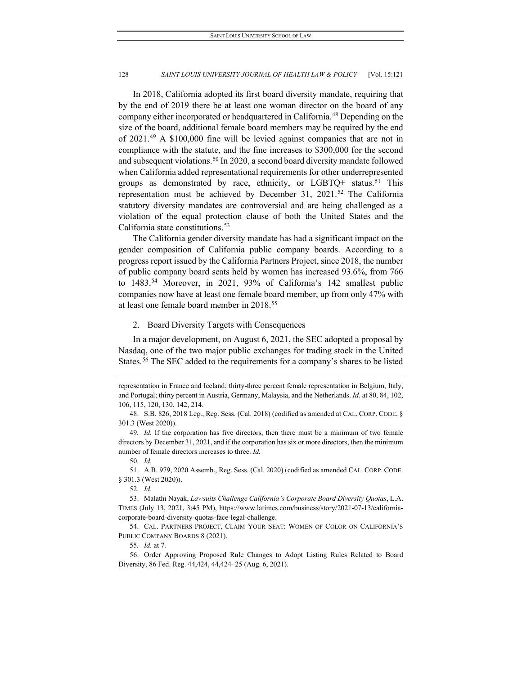In 2018, California adopted its first board diversity mandate, requiring that by the end of 2019 there be at least one woman director on the board of any company either incorporated or headquartered in California.[48](#page-8-0) Depending on the size of the board, additional female board members may be required by the end of 2021.[49](#page-8-1) A \$100,000 fine will be levied against companies that are not in compliance with the statute, and the fine increases to \$300,000 for the second and subsequent violations[.50](#page-8-2) In 2020, a second board diversity mandate followed when California added representational requirements for other underrepresented groups as demonstrated by race, ethnicity, or LGBTQ+ status.<sup>[51](#page-8-3)</sup> This representation must be achieved by December 31, 2021.<sup>[52](#page-8-4)</sup> The California statutory diversity mandates are controversial and are being challenged as a violation of the equal protection clause of both the United States and the California state constitutions.<sup>[53](#page-8-5)</sup>

The California gender diversity mandate has had a significant impact on the gender composition of California public company boards. According to a progress report issued by the California Partners Project, since 2018, the number of public company board seats held by women has increased 93.6%, from 766 to 1483.<sup>[54](#page-8-6)</sup> Moreover, in 2021, 93% of California's 142 smallest public companies now have at least one female board member, up from only 47% with at least one female board member in 2018[.55](#page-8-7)

# 2. Board Diversity Targets with Consequences

In a major development, on August 6, 2021, the SEC adopted a proposal by Nasdaq, one of the two major public exchanges for trading stock in the United States.<sup>[56](#page-8-8)</sup> The SEC added to the requirements for a company's shares to be listed

<span id="page-8-3"></span><span id="page-8-2"></span>51. A.B. 979, 2020 Assemb., Reg. Sess. (Cal. 2020) (codified as amended CAL. CORP. CODE. § 301.3 (West 2020)).

52*. Id.*

representation in France and Iceland; thirty-three percent female representation in Belgium, Italy, and Portugal; thirty percent in Austria, Germany, Malaysia, and the Netherlands. *Id.* at 80, 84, 102, 106, 115, 120, 130, 142, 214.

<span id="page-8-0"></span><sup>48.</sup> S.B. 826, 2018 Leg., Reg. Sess. (Cal. 2018) (codified as amended at CAL. CORP. CODE. § 301.3 (West 2020)).

<span id="page-8-1"></span><sup>49</sup>*. Id.* If the corporation has five directors, then there must be a minimum of two female directors by December 31, 2021, and if the corporation has six or more directors, then the minimum number of female directors increases to three. *Id.*

<sup>50</sup>*. Id.*

<span id="page-8-5"></span><span id="page-8-4"></span><sup>53.</sup> Malathi Nayak, *Lawsuits Challenge California's Corporate Board Diversity Quotas*, L.A. TIMES (July 13, 2021, 3:45 PM), https://www.latimes.com/business/story/2021-07-13/californiacorporate-board-diversity-quotas-face-legal-challenge.

<span id="page-8-6"></span><sup>54.</sup> CAL. PARTNERS PROJECT, CLAIM YOUR SEAT: WOMEN OF COLOR ON CALIFORNIA'S PUBLIC COMPANY BOARDS 8 (2021).

<sup>55</sup>*. Id.* at 7.

<span id="page-8-8"></span><span id="page-8-7"></span><sup>56.</sup> Order Approving Proposed Rule Changes to Adopt Listing Rules Related to Board Diversity, 86 Fed. Reg. 44,424, 44,424–25 (Aug. 6, 2021).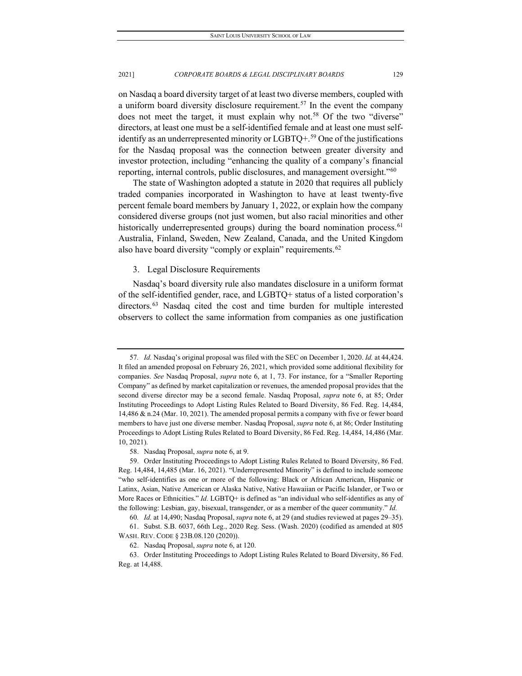on Nasdaq a board diversity target of at least two diverse members, coupled with a uniform board diversity disclosure requirement.<sup>57</sup> In the event the company does not meet the target, it must explain why not.<sup>[58](#page-9-1)</sup> Of the two "diverse" directors, at least one must be a self-identified female and at least one must self-identify as an underrepresented minority or LGBTQ+.<sup>[59](#page-9-2)</sup> One of the justifications for the Nasdaq proposal was the connection between greater diversity and investor protection, including "enhancing the quality of a company's financial reporting, internal controls, public disclosures, and management oversight."[60](#page-9-3)

The state of Washington adopted a statute in 2020 that requires all publicly traded companies incorporated in Washington to have at least twenty-five percent female board members by January 1, 2022, or explain how the company considered diverse groups (not just women, but also racial minorities and other historically underrepresented groups) during the board nomination process.<sup>[61](#page-9-4)</sup> Australia, Finland, Sweden, New Zealand, Canada, and the United Kingdom also have board diversity "comply or explain" requirements.<sup>[62](#page-9-5)</sup>

#### 3. Legal Disclosure Requirements

Nasdaq's board diversity rule also mandates disclosure in a uniform format of the self-identified gender, race, and LGBTQ+ status of a listed corporation's directors.<sup>[63](#page-9-6)</sup> Nasdaq cited the cost and time burden for multiple interested observers to collect the same information from companies as one justification

<span id="page-9-0"></span><sup>57</sup>*. Id.* Nasdaq's original proposal was filed with the SEC on December 1, 2020. *Id.* at 44,424. It filed an amended proposal on February 26, 2021, which provided some additional flexibility for companies. *See* Nasdaq Proposal, *supra* note 6, at 1, 73. For instance, for a "Smaller Reporting Company" as defined by market capitalization or revenues, the amended proposal provides that the second diverse director may be a second female. Nasdaq Proposal, *supra* note 6, at 85; Order Instituting Proceedings to Adopt Listing Rules Related to Board Diversity, 86 Fed. Reg. 14,484, 14,486 & n.24 (Mar. 10, 2021). The amended proposal permits a company with five or fewer board members to have just one diverse member. Nasdaq Proposal, *supra* note 6, at 86; Order Instituting Proceedings to Adopt Listing Rules Related to Board Diversity, 86 Fed. Reg. 14,484, 14,486 (Mar. 10, 2021).

<sup>58.</sup> Nasdaq Proposal, *supra* note 6, at 9.

<span id="page-9-2"></span><span id="page-9-1"></span><sup>59.</sup> Order Instituting Proceedings to Adopt Listing Rules Related to Board Diversity, 86 Fed. Reg. 14,484, 14,485 (Mar. 16, 2021). "Underrepresented Minority" is defined to include someone "who self-identifies as one or more of the following: Black or African American, Hispanic or Latinx, Asian, Native American or Alaska Native, Native Hawaiian or Pacific Islander, or Two or More Races or Ethnicities." *Id.* LGBTQ+ is defined as "an individual who self-identifies as any of the following: Lesbian, gay, bisexual, transgender, or as a member of the queer community." *Id.*

<sup>60</sup>*. Id.* at 14,490; Nasdaq Proposal, *supra* note 6, at 29 (and studies reviewed at pages 29–35). 61. Subst. S.B. 6037, 66th Leg., 2020 Reg. Sess. (Wash. 2020) (codified as amended at 805

<span id="page-9-4"></span><span id="page-9-3"></span>WASH. REV. CODE § 23B.08.120 (2020)).

<sup>62.</sup> Nasdaq Proposal, *supra* note 6, at 120.

<span id="page-9-6"></span><span id="page-9-5"></span><sup>63.</sup> Order Instituting Proceedings to Adopt Listing Rules Related to Board Diversity, 86 Fed. Reg. at 14,488.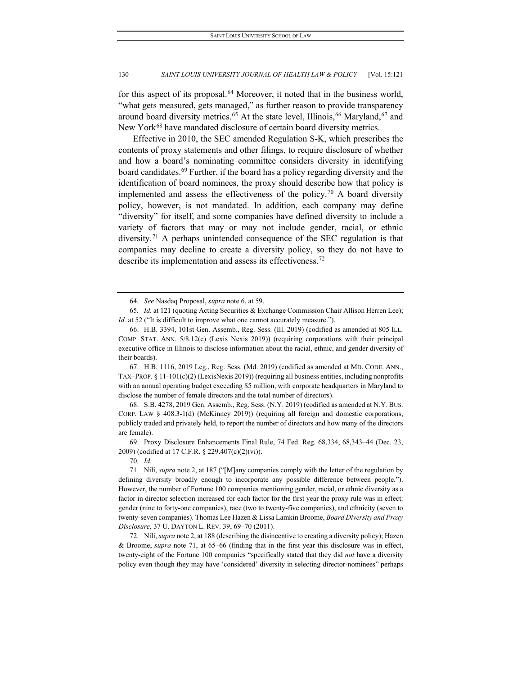for this aspect of its proposal.<sup>[64](#page-10-0)</sup> Moreover, it noted that in the business world, "what gets measured, gets managed," as further reason to provide transparency around board diversity metrics.<sup>[65](#page-10-1)</sup> At the state level, Illinois,<sup>66</sup> Maryland,<sup>[67](#page-10-3)</sup> and New York<sup>68</sup> have mandated disclosure of certain board diversity metrics.

Effective in 2010, the SEC amended Regulation S-K, which prescribes the contents of proxy statements and other filings, to require disclosure of whether and how a board's nominating committee considers diversity in identifying board candidates.[69](#page-10-5) Further, if the board has a policy regarding diversity and the identification of board nominees, the proxy should describe how that policy is implemented and assess the effectiveness of the policy.<sup>[70](#page-10-6)</sup> A board diversity policy, however, is not mandated. In addition, each company may define "diversity" for itself, and some companies have defined diversity to include a variety of factors that may or may not include gender, racial, or ethnic diversity.<sup>[71](#page-10-7)</sup> A perhaps unintended consequence of the SEC regulation is that companies may decline to create a diversity policy, so they do not have to describe its implementation and assess its effectiveness.[72](#page-10-8)

<span id="page-10-3"></span>67. H.B. 1116, 2019 Leg., Reg. Sess. (Md. 2019) (codified as amended at MD. CODE. ANN., TAX–PROP. § 11-101(c)(2) (LexisNexis 2019)) (requiring all business entities, including nonprofits with an annual operating budget exceeding \$5 million, with corporate headquarters in Maryland to disclose the number of female directors and the total number of directors).

<span id="page-10-4"></span>68. S.B. 4278, 2019 Gen. Assemb., Reg. Sess. (N.Y. 2019) (codified as amended at N.Y. BUS. CORP. LAW § 408.3-1(d) (McKinney 2019)) (requiring all foreign and domestic corporations, publicly traded and privately held, to report the number of directors and how many of the directors are female).

<span id="page-10-5"></span>69. Proxy Disclosure Enhancements Final Rule, 74 Fed. Reg. 68,334, 68,343–44 (Dec. 23, 2009) (codified at 17 C.F.R. § 229.407(c)(2)(vi)).

70*. Id.*

<span id="page-10-7"></span><span id="page-10-6"></span>71. Nili, *supra* note 2, at 187 ("[M]any companies comply with the letter of the regulation by defining diversity broadly enough to incorporate any possible difference between people."). However, the number of Fortune 100 companies mentioning gender, racial, or ethnic diversity as a factor in director selection increased for each factor for the first year the proxy rule was in effect: gender (nine to forty-one companies), race (two to twenty-five companies), and ethnicity (seven to twenty-seven companies). Thomas Lee Hazen & Lissa Lamkin Broome, *Board Diversity and Proxy Disclosure*, 37 U. DAYTON L. REV. 39, 69–70 (2011).

<span id="page-10-8"></span>72. Nili, *supra* note 2, at 188 (describing the disincentive to creating a diversity policy); Hazen & Broome, *supra* note 71, at 65–66 (finding that in the first year this disclosure was in effect, twenty-eight of the Fortune 100 companies "specifically stated that they did *not* have a diversity policy even though they may have 'considered' diversity in selecting director-nominees" perhaps

<sup>64</sup>*. See* Nasdaq Proposal, *supra* note 6, at 59.

<span id="page-10-1"></span><span id="page-10-0"></span><sup>65</sup>*. Id.* at 121 (quoting Acting Securities & Exchange Commission Chair Allison Herren Lee); *Id.* at 52 ("It is difficult to improve what one cannot accurately measure.").

<span id="page-10-2"></span><sup>66.</sup> H.B. 3394, 101st Gen. Assemb., Reg. Sess. (Ill. 2019) (codified as amended at 805 ILL. COMP. STAT. ANN. 5/8.12(c) (Lexis Nexis 2019)) (requiring corporations with their principal executive office in Illinois to disclose information about the racial, ethnic, and gender diversity of their boards).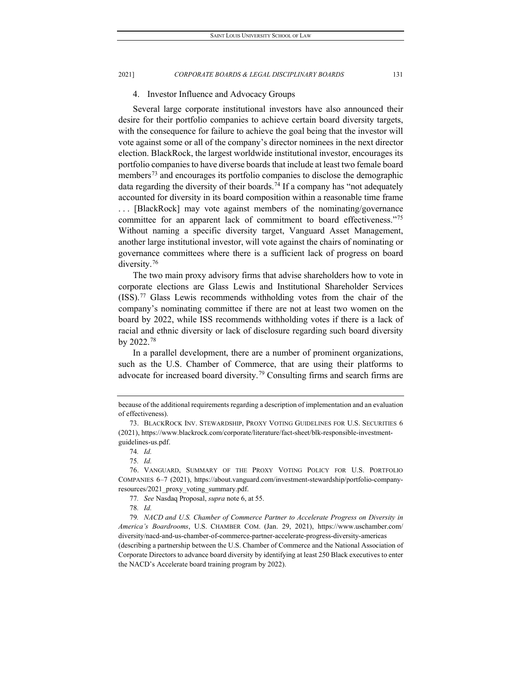#### 4. Investor Influence and Advocacy Groups

Several large corporate institutional investors have also announced their desire for their portfolio companies to achieve certain board diversity targets, with the consequence for failure to achieve the goal being that the investor will vote against some or all of the company's director nominees in the next director election. BlackRock, the largest worldwide institutional investor, encourages its portfolio companies to have diverse boards that include at least two female board members<sup>[73](#page-11-0)</sup> and encourages its portfolio companies to disclose the demographic data regarding the diversity of their boards.<sup>[74](#page-11-1)</sup> If a company has "not adequately accounted for diversity in its board composition within a reasonable time frame . . . [BlackRock] may vote against members of the nominating/governance committee for an apparent lack of commitment to board effectiveness."[75](#page-11-2) Without naming a specific diversity target, Vanguard Asset Management, another large institutional investor, will vote against the chairs of nominating or governance committees where there is a sufficient lack of progress on board diversity.<sup>[76](#page-11-3)</sup>

The two main proxy advisory firms that advise shareholders how to vote in corporate elections are Glass Lewis and Institutional Shareholder Services (ISS).[77](#page-11-4) Glass Lewis recommends withholding votes from the chair of the company's nominating committee if there are not at least two women on the board by 2022, while ISS recommends withholding votes if there is a lack of racial and ethnic diversity or lack of disclosure regarding such board diversity by 2022.[78](#page-11-5)

In a parallel development, there are a number of prominent organizations, such as the U.S. Chamber of Commerce, that are using their platforms to advocate for increased board diversity[.79](#page-11-6) Consulting firms and search firms are

because of the additional requirements regarding a description of implementation and an evaluation of effectiveness).

<span id="page-11-0"></span><sup>73.</sup> BLACKROCK INV. STEWARDSHIP, PROXY VOTING GUIDELINES FOR U.S. SECURITIES 6 (2021), https://www.blackrock.com/corporate/literature/fact-sheet/blk-responsible-investmentguidelines-us.pdf.

<sup>74</sup>*. Id.*

<sup>75</sup>*. Id.*

<span id="page-11-3"></span><span id="page-11-2"></span><span id="page-11-1"></span><sup>76.</sup> VANGUARD, SUMMARY OF THE PROXY VOTING POLICY FOR U.S. PORTFOLIO COMPANIES 6–7 (2021), https://about.vanguard.com/investment-stewardship/portfolio-companyresources/2021\_proxy\_voting\_summary.pdf.

<sup>77</sup>*. See* Nasdaq Proposal, *supra* note 6, at 55.

<sup>78</sup>*. Id.*

<span id="page-11-6"></span><span id="page-11-5"></span><span id="page-11-4"></span><sup>79</sup>*. NACD and U.S. Chamber of Commerce Partner to Accelerate Progress on Diversity in America's Boardrooms*, U.S. CHAMBER COM. (Jan. 29, 2021), https://www.uschamber.com/ diversity/nacd-and-us-chamber-of-commerce-partner-accelerate-progress-diversity-americas (describing a partnership between the U.S. Chamber of Commerce and the National Association of Corporate Directors to advance board diversity by identifying at least 250 Black executives to enter the NACD's Accelerate board training program by 2022).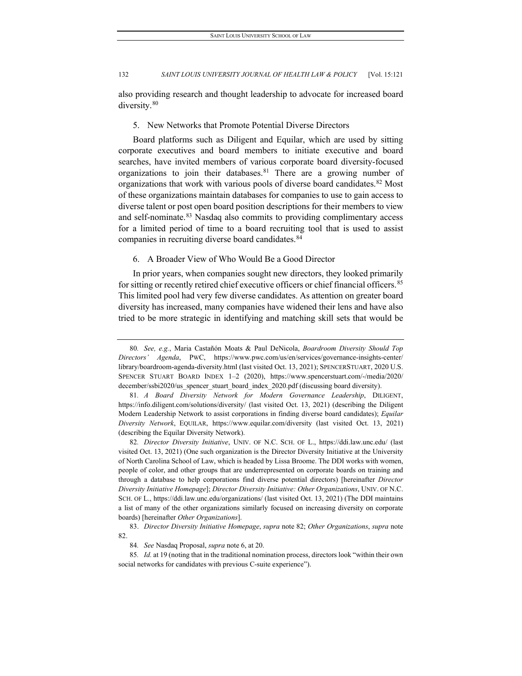also providing research and thought leadership to advocate for increased board diversity.<sup>[80](#page-12-0)</sup>

5. New Networks that Promote Potential Diverse Directors

Board platforms such as Diligent and Equilar, which are used by sitting corporate executives and board members to initiate executive and board searches, have invited members of various corporate board diversity-focused organizations to join their databases.<sup>[81](#page-12-1)</sup> There are a growing number of organizations that work with various pools of diverse board candidates.<sup>82</sup> Most of these organizations maintain databases for companies to use to gain access to diverse talent or post open board position descriptions for their members to view and self-nominate.<sup>[83](#page-12-3)</sup> Nasdaq also commits to providing complimentary access for a limited period of time to a board recruiting tool that is used to assist companies in recruiting diverse board candidates.<sup>[84](#page-12-4)</sup>

6. A Broader View of Who Would Be a Good Director

In prior years, when companies sought new directors, they looked primarily for sitting or recently retired chief executive officers or chief financial officers.<sup>[85](#page-12-5)</sup> This limited pool had very few diverse candidates. As attention on greater board diversity has increased, many companies have widened their lens and have also tried to be more strategic in identifying and matching skill sets that would be

<span id="page-12-0"></span><sup>80</sup>*. See, e.g.*, Maria Castañón Moats & Paul DeNicola, *Boardroom Diversity Should Top Directors' Agenda*, PWC, https://www.pwc.com/us/en/services/governance-insights-center/ library/boardroom-agenda-diversity.html (last visited Oct. 13, 2021); SPENCERSTUART, 2020 U.S. SPENCER STUART BOARD INDEX 1–2 (2020), https://www.spencerstuart.com/-/media/2020/ december/ssbi2020/us spencer stuart board index 2020.pdf (discussing board diversity).

<span id="page-12-1"></span><sup>81</sup>*. A Board Diversity Network for Modern Governance Leadership*, DILIGENT, https://info.diligent.com/solutions/diversity/ (last visited Oct. 13, 2021) (describing the Diligent Modern Leadership Network to assist corporations in finding diverse board candidates); *Equilar Diversity Network*, EQUILAR, https://www.equilar.com/diversity (last visited Oct. 13, 2021) (describing the Equilar Diversity Network).

<span id="page-12-2"></span><sup>82</sup>*. Director Diversity Initiative*, UNIV. OF N.C. SCH. OF L., https://ddi.law.unc.edu/ (last visited Oct. 13, 2021) (One such organization is the Director Diversity Initiative at the University of North Carolina School of Law, which is headed by Lissa Broome. The DDI works with women, people of color, and other groups that are underrepresented on corporate boards on training and through a database to help corporations find diverse potential directors) [hereinafter *Director Diversity Initiative Homepage*]; *Director Diversity Initiative: Other Organizations*, UNIV. OF N.C. SCH. OF L., https://ddi.law.unc.edu/organizations/ (last visited Oct. 13, 2021) (The DDI maintains a list of many of the other organizations similarly focused on increasing diversity on corporate boards) [hereinafter *Other Organizations*].

<span id="page-12-3"></span><sup>83.</sup> *Director Diversity Initiative Homepage*, *supra* note 82; *Other Organizations*, *supra* note 82.

<sup>84</sup>*. See* Nasdaq Proposal, *supra* note 6, at 20.

<span id="page-12-5"></span><span id="page-12-4"></span><sup>85</sup>*. Id.* at 19 (noting that in the traditional nomination process, directors look "within their own social networks for candidates with previous C-suite experience").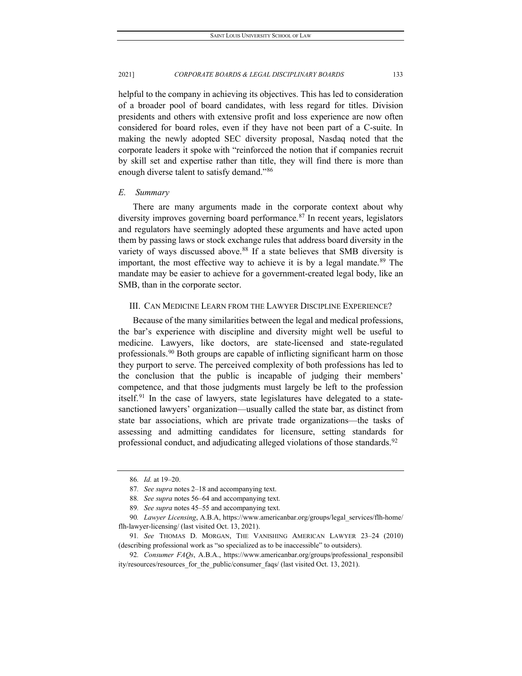helpful to the company in achieving its objectives. This has led to consideration of a broader pool of board candidates, with less regard for titles. Division presidents and others with extensive profit and loss experience are now often considered for board roles, even if they have not been part of a C-suite. In making the newly adopted SEC diversity proposal, Nasdaq noted that the corporate leaders it spoke with "reinforced the notion that if companies recruit by skill set and expertise rather than title, they will find there is more than enough diverse talent to satisfy demand."<sup>[86](#page-13-0)</sup>

### *E. Summary*

There are many arguments made in the corporate context about why diversity improves governing board performance. [87](#page-13-1) In recent years, legislators and regulators have seemingly adopted these arguments and have acted upon them by passing laws or stock exchange rules that address board diversity in the variety of ways discussed above.<sup>[88](#page-13-2)</sup> If a state believes that SMB diversity is important, the most effective way to achieve it is by a legal mandate.<sup>[89](#page-13-3)</sup> The mandate may be easier to achieve for a government-created legal body, like an SMB, than in the corporate sector.

#### III. CAN MEDICINE LEARN FROM THE LAWYER DISCIPLINE EXPERIENCE?

Because of the many similarities between the legal and medical professions, the bar's experience with discipline and diversity might well be useful to medicine. Lawyers, like doctors, are state-licensed and state-regulated professionals.<sup>[90](#page-13-4)</sup> Both groups are capable of inflicting significant harm on those they purport to serve. The perceived complexity of both professions has led to the conclusion that the public is incapable of judging their members' competence, and that those judgments must largely be left to the profession itself.<sup>[91](#page-13-5)</sup> In the case of lawyers, state legislatures have delegated to a statesanctioned lawyers' organization—usually called the state bar, as distinct from state bar associations, which are private trade organizations—the tasks of assessing and admitting candidates for licensure, setting standards for professional conduct, and adjudicating alleged violations of those standards.<sup>[92](#page-13-6)</sup>

<sup>86</sup>*. Id.* at 19–20.

<sup>87</sup>*. See supra* notes 2–18 and accompanying text.

<sup>88</sup>*. See supra* notes 56–64 and accompanying text.

<sup>89</sup>*. See supra* notes 45–55 and accompanying text.

<span id="page-13-4"></span><span id="page-13-3"></span><span id="page-13-2"></span><span id="page-13-1"></span><span id="page-13-0"></span><sup>90</sup>*. Lawyer Licensing*, A.B.A, https://www.americanbar.org/groups/legal\_services/flh-home/ flh-lawyer-licensing/ (last visited Oct. 13, 2021).

<span id="page-13-5"></span><sup>91</sup>*. See* THOMAS D. MORGAN, THE VANISHING AMERICAN LAWYER 23–24 (2010) (describing professional work as "so specialized as to be inaccessible" to outsiders).

<span id="page-13-6"></span><sup>92</sup>*. Consumer FAQs*, A.B.A., https://www.americanbar.org/groups/professional\_responsibil ity/resources/resources for the public/consumer faqs/ (last visited Oct. 13, 2021).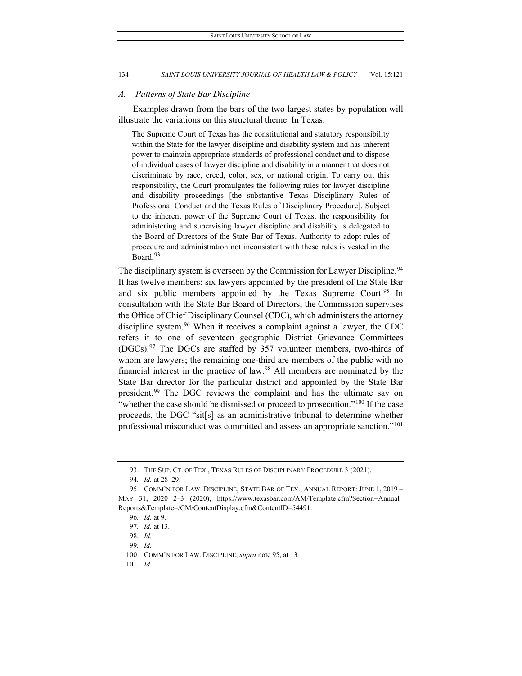#### *A. Patterns of State Bar Discipline*

Examples drawn from the bars of the two largest states by population will illustrate the variations on this structural theme. In Texas:

The Supreme Court of Texas has the constitutional and statutory responsibility within the State for the lawyer discipline and disability system and has inherent power to maintain appropriate standards of professional conduct and to dispose of individual cases of lawyer discipline and disability in a manner that does not discriminate by race, creed, color, sex, or national origin. To carry out this responsibility, the Court promulgates the following rules for lawyer discipline and disability proceedings [the substantive Texas Disciplinary Rules of Professional Conduct and the Texas Rules of Disciplinary Procedure]. Subject to the inherent power of the Supreme Court of Texas, the responsibility for administering and supervising lawyer discipline and disability is delegated to the Board of Directors of the State Bar of Texas. Authority to adopt rules of procedure and administration not inconsistent with these rules is vested in the Board.<sup>[93](#page-14-0)</sup>

The disciplinary system is overseen by the Commission for Lawyer Discipline.<sup>[94](#page-14-1)</sup> It has twelve members: six lawyers appointed by the president of the State Bar and six public members appointed by the Texas Supreme Court.<sup>[95](#page-14-2)</sup> In consultation with the State Bar Board of Directors, the Commission supervises the Office of Chief Disciplinary Counsel (CDC), which administers the attorney discipline system.<sup>[96](#page-14-3)</sup> When it receives a complaint against a lawyer, the CDC refers it to one of seventeen geographic District Grievance Committees  $(DGCs)$ <sup>[97](#page-14-4)</sup>. The DGCs are staffed by 357 volunteer members, two-thirds of whom are lawyers; the remaining one-third are members of the public with no financial interest in the practice of law.[98](#page-14-5) All members are nominated by the State Bar director for the particular district and appointed by the State Bar president.<sup>[99](#page-14-6)</sup> The DGC reviews the complaint and has the ultimate say on "whether the case should be dismissed or proceed to prosecution."<sup>[100](#page-14-7)</sup> If the case proceeds, the DGC "sit[s] as an administrative tribunal to determine whether professional misconduct was committed and assess an appropriate sanction."<sup>101</sup>

<span id="page-14-8"></span><span id="page-14-7"></span>101*. Id.*

<sup>93.</sup> THE SUP. CT. OF TEX., TEXAS RULES OF DISCIPLINARY PROCEDURE 3 (2021).

<sup>94</sup>*. Id.* at 28–29.

<span id="page-14-5"></span><span id="page-14-4"></span><span id="page-14-3"></span><span id="page-14-2"></span><span id="page-14-1"></span><span id="page-14-0"></span><sup>95.</sup> COMM'N FOR LAW. DISCIPLINE, STATE BAR OF TEX., ANNUAL REPORT: JUNE 1, 2019 – MAY 31, 2020 2–3 (2020), https://www.texasbar.com/AM/Template.cfm?Section=Annual\_ Reports&Template=/CM/ContentDisplay.cfm&ContentID=54491.

<sup>96</sup>*. Id.* at 9.

<sup>97</sup>*. Id.* at 13.

<sup>98</sup>*. Id.*

<sup>99</sup>*. Id.*

<span id="page-14-6"></span><sup>100.</sup> COMM'N FOR LAW. DISCIPLINE, *supra* note 95, at 13*.*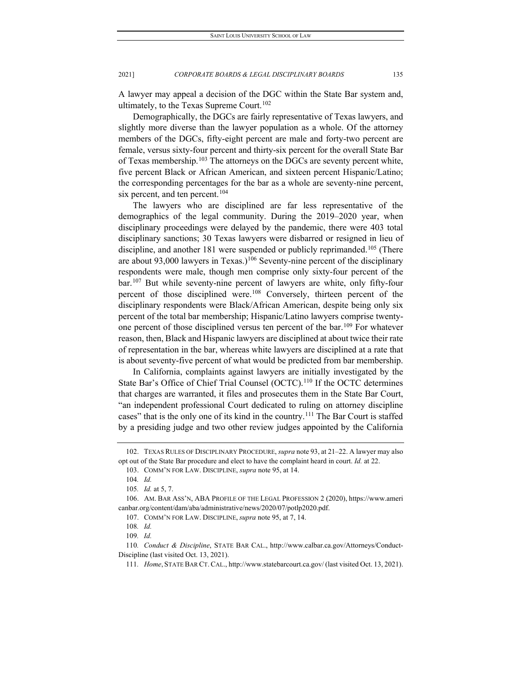A lawyer may appeal a decision of the DGC within the State Bar system and, ultimately, to the Texas Supreme Court.<sup>[102](#page-15-0)</sup>

Demographically, the DGCs are fairly representative of Texas lawyers, and slightly more diverse than the lawyer population as a whole. Of the attorney members of the DGCs, fifty-eight percent are male and forty-two percent are female, versus sixty-four percent and thirty-six percent for the overall State Bar of Texas membership.<sup>[103](#page-15-1)</sup> The attorneys on the DGCs are seventy percent white, five percent Black or African American, and sixteen percent Hispanic/Latino; the corresponding percentages for the bar as a whole are seventy-nine percent, six percent, and ten percent.<sup>[104](#page-15-2)</sup>

The lawyers who are disciplined are far less representative of the demographics of the legal community. During the 2019–2020 year, when disciplinary proceedings were delayed by the pandemic, there were 403 total disciplinary sanctions; 30 Texas lawyers were disbarred or resigned in lieu of discipline, and another 181 were suspended or publicly reprimanded.<sup>[105](#page-15-3)</sup> (There are about  $93,000$  lawyers in Texas.)<sup>[106](#page-15-4)</sup> Seventy-nine percent of the disciplinary respondents were male, though men comprise only sixty-four percent of the bar.[107](#page-15-5) But while seventy-nine percent of lawyers are white, only fifty-four percent of those disciplined were.[108](#page-15-6) Conversely, thirteen percent of the disciplinary respondents were Black/African American, despite being only six percent of the total bar membership; Hispanic/Latino lawyers comprise twentyone percent of those disciplined versus ten percent of the bar.[109](#page-15-7) For whatever reason, then, Black and Hispanic lawyers are disciplined at about twice their rate of representation in the bar, whereas white lawyers are disciplined at a rate that is about seventy-five percent of what would be predicted from bar membership.

In California, complaints against lawyers are initially investigated by the State Bar's Office of Chief Trial Counsel (OCTC).<sup>[110](#page-15-8)</sup> If the OCTC determines that charges are warranted, it files and prosecutes them in the State Bar Court, "an independent professional Court dedicated to ruling on attorney discipline cases" that is the only one of its kind in the country.[111](#page-15-9) The Bar Court is staffed by a presiding judge and two other review judges appointed by the California

<span id="page-15-1"></span><span id="page-15-0"></span><sup>102.</sup> TEXAS RULES OF DISCIPLINARY PROCEDURE, *supra* note 93, at 21–22. A lawyer may also opt out of the State Bar procedure and elect to have the complaint heard in court. *Id.* at 22.

<sup>103.</sup> COMM'N FOR LAW. DISCIPLINE, *supra* note 95, at 14.

<sup>104</sup>*. Id.*

<sup>105</sup>*. Id.* at 5, 7.

<span id="page-15-5"></span><span id="page-15-4"></span><span id="page-15-3"></span><span id="page-15-2"></span><sup>106.</sup> AM. BAR ASS'N, ABA PROFILE OF THE LEGAL PROFESSION 2 (2020), https://www.ameri canbar.org/content/dam/aba/administrative/news/2020/07/potlp2020.pdf.

<sup>107.</sup> COMM'N FOR LAW. DISCIPLINE, *supra* note 95, at 7, 14.

<sup>108</sup>*. Id.*

<sup>109</sup>*. Id.*

<span id="page-15-9"></span><span id="page-15-8"></span><span id="page-15-7"></span><span id="page-15-6"></span><sup>110</sup>*. Conduct & Discipline*, STATE BAR CAL., http://www.calbar.ca.gov/Attorneys/Conduct-Discipline (last visited Oct. 13, 2021).

<sup>111</sup>*. Home*, STATE BAR CT. CAL., http://www.statebarcourt.ca.gov/ (last visited Oct. 13, 2021).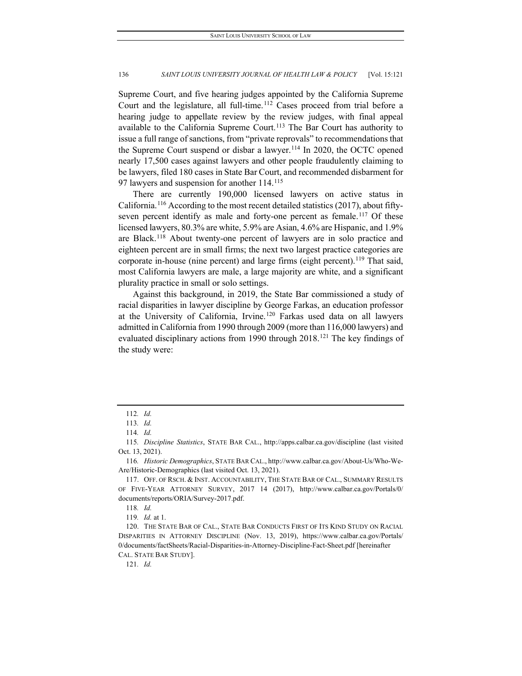Supreme Court, and five hearing judges appointed by the California Supreme Court and the legislature, all full-time.<sup>[112](#page-16-0)</sup> Cases proceed from trial before a hearing judge to appellate review by the review judges, with final appeal available to the California Supreme Court.<sup>[113](#page-16-1)</sup> The Bar Court has authority to issue a full range of sanctions, from "private reprovals" to recommendations that the Supreme Court suspend or disbar a lawyer.<sup>[114](#page-16-2)</sup> In 2020, the OCTC opened nearly 17,500 cases against lawyers and other people fraudulently claiming to be lawyers, filed 180 cases in State Bar Court, and recommended disbarment for 97 lawyers and suspension for another 114.<sup>[115](#page-16-3)</sup>

There are currently 190,000 licensed lawyers on active status in California.<sup>[116](#page-16-4)</sup> According to the most recent detailed statistics (2017), about fifty-seven percent identify as male and forty-one percent as female.<sup>[117](#page-16-5)</sup> Of these licensed lawyers, 80.3% are white, 5.9% are Asian, 4.6% are Hispanic, and 1.9% are Black.[118](#page-16-6) About twenty-one percent of lawyers are in solo practice and eighteen percent are in small firms; the next two largest practice categories are corporate in-house (nine percent) and large firms (eight percent).<sup>[119](#page-16-7)</sup> That said, most California lawyers are male, a large majority are white, and a significant plurality practice in small or solo settings.

Against this background, in 2019, the State Bar commissioned a study of racial disparities in lawyer discipline by George Farkas, an education professor at the University of California, Irvine.<sup>[120](#page-16-8)</sup> Farkas used data on all lawyers admitted in California from 1990 through 2009 (more than 116,000 lawyers) and evaluated disciplinary actions from 1990 through 2018.<sup>[121](#page-16-9)</sup> The key findings of the study were:

121*. Id.*

<sup>112</sup>*. Id.*

<sup>113</sup>*. Id.*

<sup>114</sup>*. Id.*

<span id="page-16-3"></span><span id="page-16-2"></span><span id="page-16-1"></span><span id="page-16-0"></span><sup>115</sup>*. Discipline Statistics*, STATE BAR CAL., http://apps.calbar.ca.gov/discipline (last visited Oct. 13, 2021).

<span id="page-16-4"></span><sup>116</sup>*. Historic Demographics*, STATE BAR CAL., http://www.calbar.ca.gov/About-Us/Who-We-Are/Historic-Demographics (last visited Oct. 13, 2021).

<span id="page-16-5"></span><sup>117.</sup> OFF. OF RSCH. & INST. ACCOUNTABILITY, THE STATE BAR OF CAL., SUMMARY RESULTS OF FIVE-YEAR ATTORNEY SURVEY, 2017 14 (2017), http://www.calbar.ca.gov/Portals/0/ documents/reports/ORIA/Survey-2017.pdf.

<sup>118</sup>*. Id.*

<sup>119</sup>*. Id.* at 1.

<span id="page-16-9"></span><span id="page-16-8"></span><span id="page-16-7"></span><span id="page-16-6"></span><sup>120.</sup> THE STATE BAR OF CAL., STATE BAR CONDUCTS FIRST OF ITS KIND STUDY ON RACIAL DISPARITIES IN ATTORNEY DISCIPLINE (Nov. 13, 2019), https://www.calbar.ca.gov/Portals/ 0/documents/factSheets/Racial-Disparities-in-Attorney-Discipline-Fact-Sheet.pdf [hereinafter CAL. STATE BAR STUDY].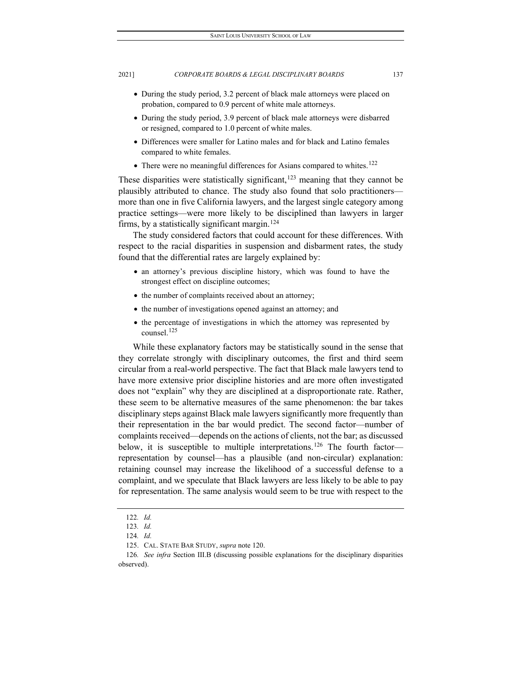- During the study period, 3.2 percent of black male attorneys were placed on probation, compared to 0.9 percent of white male attorneys.
- During the study period, 3.9 percent of black male attorneys were disbarred or resigned, compared to 1.0 percent of white males.
- Differences were smaller for Latino males and for black and Latino females compared to white females.
- $\bullet$  There were no meaningful differences for Asians compared to whites.<sup>[122](#page-17-0)</sup>

These disparities were statistically significant,<sup>[123](#page-17-1)</sup> meaning that they cannot be plausibly attributed to chance. The study also found that solo practitioners more than one in five California lawyers, and the largest single category among practice settings—were more likely to be disciplined than lawyers in larger firms, by a statistically significant margin.<sup>[124](#page-17-2)</sup>

The study considered factors that could account for these differences. With respect to the racial disparities in suspension and disbarment rates, the study found that the differential rates are largely explained by:

- an attorney's previous discipline history, which was found to have the strongest effect on discipline outcomes;
- the number of complaints received about an attorney;
- the number of investigations opened against an attorney; and
- the percentage of investigations in which the attorney was represented by counsel.<sup>[125](#page-17-3)</sup>

While these explanatory factors may be statistically sound in the sense that they correlate strongly with disciplinary outcomes, the first and third seem circular from a real-world perspective. The fact that Black male lawyers tend to have more extensive prior discipline histories and are more often investigated does not "explain" why they are disciplined at a disproportionate rate. Rather, these seem to be alternative measures of the same phenomenon: the bar takes disciplinary steps against Black male lawyers significantly more frequently than their representation in the bar would predict. The second factor—number of complaints received—depends on the actions of clients, not the bar; as discussed below, it is susceptible to multiple interpretations.<sup>[126](#page-17-4)</sup> The fourth factor representation by counsel—has a plausible (and non-circular) explanation: retaining counsel may increase the likelihood of a successful defense to a complaint, and we speculate that Black lawyers are less likely to be able to pay for representation. The same analysis would seem to be true with respect to the

<sup>122</sup>*. Id.*

<sup>123</sup>*. Id.*

<sup>124</sup>*. Id.*

<sup>125.</sup> CAL. STATE BAR STUDY, *supra* note 120.

<span id="page-17-4"></span><span id="page-17-3"></span><span id="page-17-2"></span><span id="page-17-1"></span><span id="page-17-0"></span><sup>126</sup>*. See infra* Section III.B (discussing possible explanations for the disciplinary disparities observed).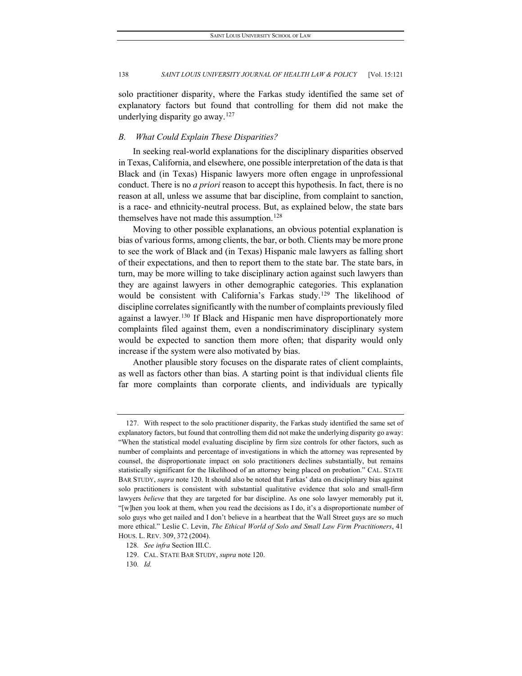solo practitioner disparity, where the Farkas study identified the same set of explanatory factors but found that controlling for them did not make the underlying disparity go away.<sup>[127](#page-18-0)</sup>

#### *B. What Could Explain These Disparities?*

In seeking real-world explanations for the disciplinary disparities observed in Texas, California, and elsewhere, one possible interpretation of the data is that Black and (in Texas) Hispanic lawyers more often engage in unprofessional conduct. There is no *a priori* reason to accept this hypothesis. In fact, there is no reason at all, unless we assume that bar discipline, from complaint to sanction, is a race- and ethnicity-neutral process. But, as explained below, the state bars themselves have not made this assumption.<sup>[128](#page-18-1)</sup>

Moving to other possible explanations, an obvious potential explanation is bias of various forms, among clients, the bar, or both. Clients may be more prone to see the work of Black and (in Texas) Hispanic male lawyers as falling short of their expectations, and then to report them to the state bar. The state bars, in turn, may be more willing to take disciplinary action against such lawyers than they are against lawyers in other demographic categories. This explanation would be consistent with California's Farkas study.[129](#page-18-2) The likelihood of discipline correlates significantly with the number of complaints previously filed against a lawyer.<sup>[130](#page-18-3)</sup> If Black and Hispanic men have disproportionately more complaints filed against them, even a nondiscriminatory disciplinary system would be expected to sanction them more often; that disparity would only increase if the system were also motivated by bias.

Another plausible story focuses on the disparate rates of client complaints, as well as factors other than bias. A starting point is that individual clients file far more complaints than corporate clients, and individuals are typically

<span id="page-18-0"></span><sup>127.</sup> With respect to the solo practitioner disparity, the Farkas study identified the same set of explanatory factors, but found that controlling them did not make the underlying disparity go away: "When the statistical model evaluating discipline by firm size controls for other factors, such as number of complaints and percentage of investigations in which the attorney was represented by counsel, the disproportionate impact on solo practitioners declines substantially, but remains statistically significant for the likelihood of an attorney being placed on probation." CAL. STATE BAR STUDY, *supra* note 120. It should also be noted that Farkas' data on disciplinary bias against solo practitioners is consistent with substantial qualitative evidence that solo and small-firm lawyers *believe* that they are targeted for bar discipline. As one solo lawyer memorably put it, "[w]hen you look at them, when you read the decisions as I do, it's a disproportionate number of solo guys who get nailed and I don't believe in a heartbeat that the Wall Street guys are so much more ethical." Leslie C. Levin, *The Ethical World of Solo and Small Law Firm Practitioners*, 41 HOUS. L. REV. 309, 372 (2004).

<span id="page-18-1"></span><sup>128</sup>*. See infra* Section III.C.

<sup>129.</sup> CAL. STATE BAR STUDY, *supra* note 120.

<span id="page-18-3"></span><span id="page-18-2"></span><sup>130</sup>*. Id.*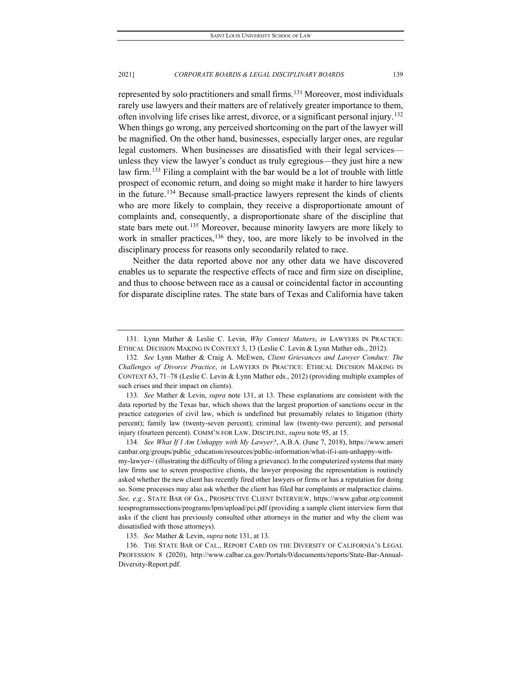represented by solo practitioners and small firms.<sup>[131](#page-19-0)</sup> Moreover, most individuals rarely use lawyers and their matters are of relatively greater importance to them, often involving life crises like arrest, divorce, or a significant personal injury[.132](#page-19-1) When things go wrong, any perceived shortcoming on the part of the lawyer will be magnified. On the other hand, businesses, especially larger ones, are regular legal customers. When businesses are dissatisfied with their legal services unless they view the lawyer's conduct as truly egregious—they just hire a new law firm.<sup>[133](#page-19-2)</sup> Filing a complaint with the bar would be a lot of trouble with little prospect of economic return, and doing so might make it harder to hire lawyers in the future.[134](#page-19-3) Because small-practice lawyers represent the kinds of clients who are more likely to complain, they receive a disproportionate amount of complaints and, consequently, a disproportionate share of the discipline that state bars mete out.<sup>[135](#page-19-4)</sup> Moreover, because minority lawyers are more likely to work in smaller practices,  $136$  they, too, are more likely to be involved in the disciplinary process for reasons only secondarily related to race.

Neither the data reported above nor any other data we have discovered enables us to separate the respective effects of race and firm size on discipline, and thus to choose between race as a causal or coincidental factor in accounting for disparate discipline rates. The state bars of Texas and California have taken

<span id="page-19-2"></span>133*. See* Mather & Levin, *supra* note 131, at 13. These explanations are consistent with the data reported by the Texas bar, which shows that the largest proportion of sanctions occur in the practice categories of civil law, which is undefined but presumably relates to litigation (thirty percent); family law (twenty-seven percent); criminal law (twenty-two percent); and personal injury (fourteen percent). COMM'N FOR LAW. DISCIPLINE, *supra* note 95, at 15.

<span id="page-19-3"></span>134*. See What If I Am Unhappy with My Lawyer?*, A.B.A. (June 7, 2018), https://www.ameri canbar.org/groups/public\_education/resources/public-information/what-if-i-am-unhappy-withmy-lawyer-/ (illustrating the difficulty of filing a grievance). In the computerized systems that many law firms use to screen prospective clients, the lawyer proposing the representation is routinely asked whether the new client has recently fired other lawyers or firms or has a reputation for doing so. Some processes may also ask whether the client has filed bar complaints or malpractice claims. *See, e.g.*, STATE BAR OF GA., PROSPECTIVE CLIENT INTERVIEW, https://www.gabar.org/commit teesprogramssections/programs/lpm/upload/pci.pdf (providing a sample client interview form that asks if the client has previously consulted other attorneys in the matter and why the client was dissatisfied with those attorneys).

135*. See* Mather & Levin, *supra* note 131, at 13.

<span id="page-19-5"></span><span id="page-19-4"></span>136. THE STATE BAR OF CAL., REPORT CARD ON THE DIVERSITY OF CALIFORNIA'S LEGAL PROFESSION 8 (2020), http://www.calbar.ca.gov/Portals/0/documents/reports/State-Bar-Annual-Diversity-Report.pdf.

<span id="page-19-0"></span><sup>131.</sup> Lynn Mather & Leslie C. Levin, *Why Context Matters*, *in* LAWYERS IN PRACTICE: ETHICAL DECISION MAKING IN CONTEXT 3, 13 (Leslie C. Levin & Lynn Mather eds., 2012).

<span id="page-19-1"></span><sup>132</sup>*. See* Lynn Mather & Craig A. McEwen, *Client Grievances and Lawyer Conduct: The Challenges of Divorce Practice*, *in* LAWYERS IN PRACTICE: ETHICAL DECISION MAKING IN CONTEXT 63, 71–78 (Leslie C. Levin & Lynn Mather eds., 2012) (providing multiple examples of such crises and their impact on clients).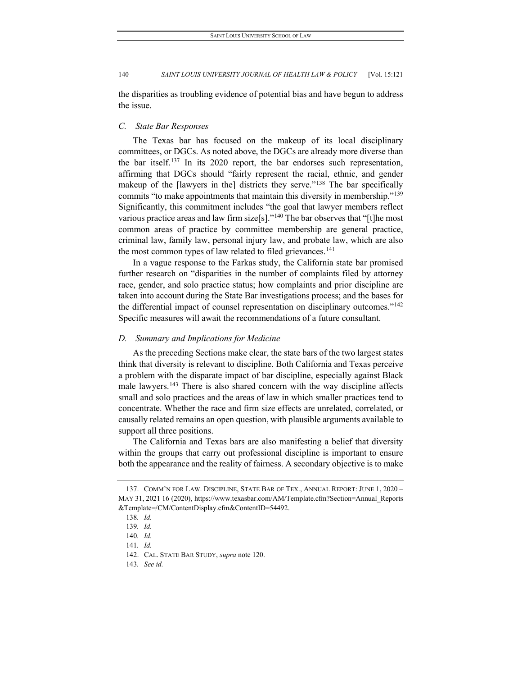the disparities as troubling evidence of potential bias and have begun to address the issue.

# *C. State Bar Responses*

The Texas bar has focused on the makeup of its local disciplinary committees, or DGCs. As noted above, the DGCs are already more diverse than the bar itself.[137](#page-20-0) In its 2020 report, the bar endorses such representation, affirming that DGCs should "fairly represent the racial, ethnic, and gender makeup of the [lawyers in the] districts they serve."<sup>[138](#page-20-1)</sup> The bar specifically commits "to make appointments that maintain this diversity in membership."<sup>[139](#page-20-2)</sup> Significantly, this commitment includes "the goal that lawyer members reflect various practice areas and law firm size<sup>[s]</sup>.<sup>"[140](#page-20-3)</sup> The bar observes that "[t]he most common areas of practice by committee membership are general practice, criminal law, family law, personal injury law, and probate law, which are also the most common types of law related to filed grievances.<sup>[141](#page-20-4)</sup>

In a vague response to the Farkas study, the California state bar promised further research on "disparities in the number of complaints filed by attorney race, gender, and solo practice status; how complaints and prior discipline are taken into account during the State Bar investigations process; and the bases for the differential impact of counsel representation on disciplinary outcomes.["142](#page-20-5) Specific measures will await the recommendations of a future consultant.

# *D. Summary and Implications for Medicine*

As the preceding Sections make clear, the state bars of the two largest states think that diversity is relevant to discipline. Both California and Texas perceive a problem with the disparate impact of bar discipline, especially against Black male lawyers.<sup>[143](#page-20-6)</sup> There is also shared concern with the way discipline affects small and solo practices and the areas of law in which smaller practices tend to concentrate. Whether the race and firm size effects are unrelated, correlated, or causally related remains an open question, with plausible arguments available to support all three positions.

The California and Texas bars are also manifesting a belief that diversity within the groups that carry out professional discipline is important to ensure both the appearance and the reality of fairness. A secondary objective is to make

<span id="page-20-2"></span><span id="page-20-1"></span><span id="page-20-0"></span><sup>137.</sup> COMM'N FOR LAW. DISCIPLINE, STATE BAR OF TEX., ANNUAL REPORT: JUNE 1, 2020 – MAY 31, 2021 16 (2020), https://www.texasbar.com/AM/Template.cfm?Section=Annual\_Reports &Template=/CM/ContentDisplay.cfm&ContentID=54492.

<sup>138</sup>*. Id.*

<sup>139</sup>*. Id.*

<span id="page-20-3"></span><sup>140</sup>*. Id.*

<span id="page-20-4"></span><sup>141</sup>*. Id.*

<span id="page-20-6"></span><span id="page-20-5"></span><sup>142.</sup> CAL. STATE BAR STUDY, *supra* note 120.

<sup>143</sup>*. See id.*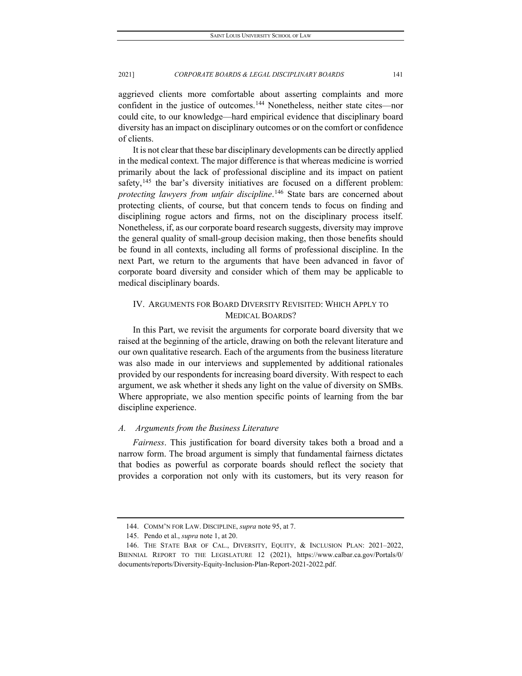aggrieved clients more comfortable about asserting complaints and more confident in the justice of outcomes.[144](#page-21-0) Nonetheless, neither state cites—nor could cite, to our knowledge—hard empirical evidence that disciplinary board diversity has an impact on disciplinary outcomes or on the comfort or confidence of clients.

It is not clear that these bar disciplinary developments can be directly applied in the medical context. The major difference is that whereas medicine is worried primarily about the lack of professional discipline and its impact on patient safety,<sup>[145](#page-21-1)</sup> the bar's diversity initiatives are focused on a different problem: *protecting lawyers from unfair discipline*. [146](#page-21-2) State bars are concerned about protecting clients, of course, but that concern tends to focus on finding and disciplining rogue actors and firms, not on the disciplinary process itself. Nonetheless, if, as our corporate board research suggests, diversity may improve the general quality of small-group decision making, then those benefits should be found in all contexts, including all forms of professional discipline. In the next Part, we return to the arguments that have been advanced in favor of corporate board diversity and consider which of them may be applicable to medical disciplinary boards.

# IV. ARGUMENTS FOR BOARD DIVERSITY REVISITED: WHICH APPLY TO MEDICAL BOARDS?

In this Part, we revisit the arguments for corporate board diversity that we raised at the beginning of the article, drawing on both the relevant literature and our own qualitative research. Each of the arguments from the business literature was also made in our interviews and supplemented by additional rationales provided by our respondents for increasing board diversity. With respect to each argument, we ask whether it sheds any light on the value of diversity on SMBs. Where appropriate, we also mention specific points of learning from the bar discipline experience.

# *A. Arguments from the Business Literature*

*Fairness*. This justification for board diversity takes both a broad and a narrow form. The broad argument is simply that fundamental fairness dictates that bodies as powerful as corporate boards should reflect the society that provides a corporation not only with its customers, but its very reason for

<sup>144.</sup> COMM'N FOR LAW. DISCIPLINE, *supra* note 95, at 7.

<sup>145.</sup> Pendo et al., *supra* note 1, at 20.

<span id="page-21-2"></span><span id="page-21-1"></span><span id="page-21-0"></span><sup>146.</sup> THE STATE BAR OF CAL., DIVERSITY, EQUITY, & INCLUSION PLAN: 2021–2022, BIENNIAL REPORT TO THE LEGISLATURE 12 (2021), https://www.calbar.ca.gov/Portals/0/ documents/reports/Diversity-Equity-Inclusion-Plan-Report-2021-2022.pdf.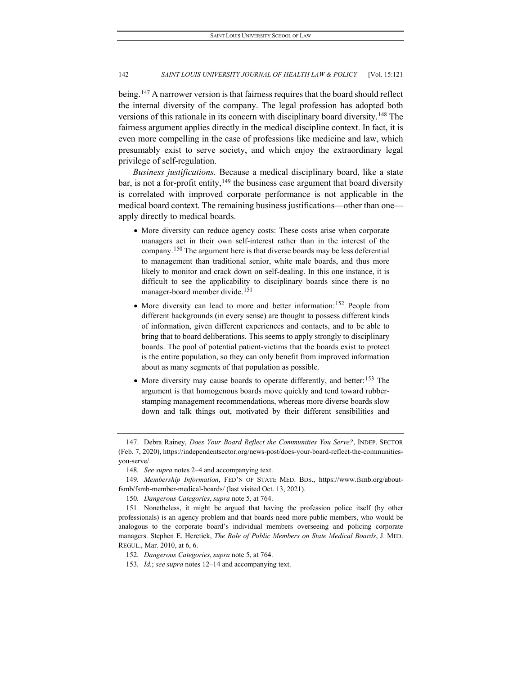being.<sup>[147](#page-22-0)</sup> A narrower version is that fairness requires that the board should reflect the internal diversity of the company. The legal profession has adopted both versions of this rationale in its concern with disciplinary board diversity.<sup>[148](#page-22-1)</sup> The fairness argument applies directly in the medical discipline context. In fact, it is even more compelling in the case of professions like medicine and law, which presumably exist to serve society, and which enjoy the extraordinary legal privilege of self-regulation.

*Business justifications.* Because a medical disciplinary board, like a state bar, is not a for-profit entity,  $149$  the business case argument that board diversity is correlated with improved corporate performance is not applicable in the medical board context. The remaining business justifications—other than one apply directly to medical boards.

- More diversity can reduce agency costs: These costs arise when corporate managers act in their own self-interest rather than in the interest of the company.[150](#page-22-3) The argument here is that diverse boards may be less deferential to management than traditional senior, white male boards, and thus more likely to monitor and crack down on self-dealing. In this one instance, it is difficult to see the applicability to disciplinary boards since there is no manager-board member divide.[151](#page-22-4)
- More diversity can lead to more and better information:[152](#page-22-5) People from different backgrounds (in every sense) are thought to possess different kinds of information, given different experiences and contacts, and to be able to bring that to board deliberations. This seems to apply strongly to disciplinary boards. The pool of potential patient-victims that the boards exist to protect is the entire population, so they can only benefit from improved information about as many segments of that population as possible.
- More diversity may cause boards to operate differently, and better:  $153$  The argument is that homogenous boards move quickly and tend toward rubberstamping management recommendations, whereas more diverse boards slow down and talk things out, motivated by their different sensibilities and

<span id="page-22-6"></span>153*. Id.*; *see supra* notes 12–14 and accompanying text.

<span id="page-22-0"></span><sup>147.</sup> Debra Rainey, *Does Your Board Reflect the Communities You Serve?*, INDEP. SECTOR (Feb. 7, 2020), https://independentsector.org/news-post/does-your-board-reflect-the-communitiesyou-serve/.

<sup>148</sup>*. See supra* notes 2–4 and accompanying text.

<span id="page-22-2"></span><span id="page-22-1"></span><sup>149</sup>*. Membership Information*, FED'N OF STATE MED. BDS., https://www.fsmb.org/aboutfsmb/fsmb-member-medical-boards/ (last visited Oct. 13, 2021).

<sup>150</sup>*. Dangerous Categories*, *supra* note 5, at 764.

<span id="page-22-4"></span><span id="page-22-3"></span><sup>151.</sup> Nonetheless, it might be argued that having the profession police itself (by other professionals) is an agency problem and that boards need more public members, who would be analogous to the corporate board's individual members overseeing and policing corporate managers. Stephen E. Heretick, *The Role of Public Members on State Medical Boards*, J. MED. REGUL., Mar. 2010, at 6, 6.

<span id="page-22-5"></span><sup>152</sup>*. Dangerous Categories*, *supra* note 5, at 764.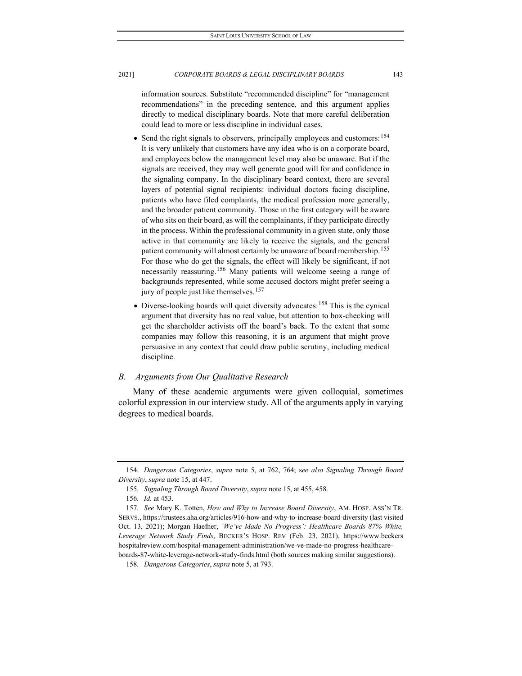information sources. Substitute "recommended discipline" for "management recommendations" in the preceding sentence, and this argument applies directly to medical disciplinary boards. Note that more careful deliberation could lead to more or less discipline in individual cases.

- Send the right signals to observers, principally employees and customers: <sup>[154](#page-23-0)</sup> It is very unlikely that customers have any idea who is on a corporate board, and employees below the management level may also be unaware. But if the signals are received, they may well generate good will for and confidence in the signaling company. In the disciplinary board context, there are several layers of potential signal recipients: individual doctors facing discipline, patients who have filed complaints, the medical profession more generally, and the broader patient community. Those in the first category will be aware of who sits on their board, as will the complainants, if they participate directly in the process. Within the professional community in a given state, only those active in that community are likely to receive the signals, and the general patient community will almost certainly be unaware of board membership.<sup>[155](#page-23-1)</sup> For those who do get the signals, the effect will likely be significant, if not necessarily reassuring.<sup>[156](#page-23-2)</sup> Many patients will welcome seeing a range of backgrounds represented, while some accused doctors might prefer seeing a jury of people just like themselves.<sup>[157](#page-23-3)</sup>
- Diverse-looking boards will quiet diversity advocates:[158](#page-23-4) This is the cynical argument that diversity has no real value, but attention to box-checking will get the shareholder activists off the board's back. To the extent that some companies may follow this reasoning, it is an argument that might prove persuasive in any context that could draw public scrutiny, including medical discipline.

# *B. Arguments from Our Qualitative Research*

Many of these academic arguments were given colloquial, sometimes colorful expression in our interview study. All of the arguments apply in varying degrees to medical boards.

<span id="page-23-1"></span><span id="page-23-0"></span><sup>154</sup>*. Dangerous Categories*, *supra* note 5, at 762, 764; s*ee also Signaling Through Board Diversity*, *supra* note 15, at 447.

<sup>155</sup>*. Signaling Through Board Diversity*, *supra* note 15, at 455, 458.

<sup>156</sup>*. Id.* at 453.

<span id="page-23-3"></span><span id="page-23-2"></span><sup>157</sup>*. See* Mary K. Totten, *How and Why to Increase Board Diversity*, AM. HOSP. ASS'N TR. SERVS., https://trustees.aha.org/articles/916-how-and-why-to-increase-board-diversity (last visited Oct. 13, 2021); Morgan Haefner, *'We've Made No Progress': Healthcare Boards 87% White, Leverage Network Study Finds*, BECKER'S HOSP. REV (Feb. 23, 2021), https://www.beckers hospitalreview.com/hospital-management-administration/we-ve-made-no-progress-healthcareboards-87-white-leverage-network-study-finds.html (both sources making similar suggestions).

<span id="page-23-4"></span><sup>158</sup>*. Dangerous Categories*, *supra* note 5, at 793.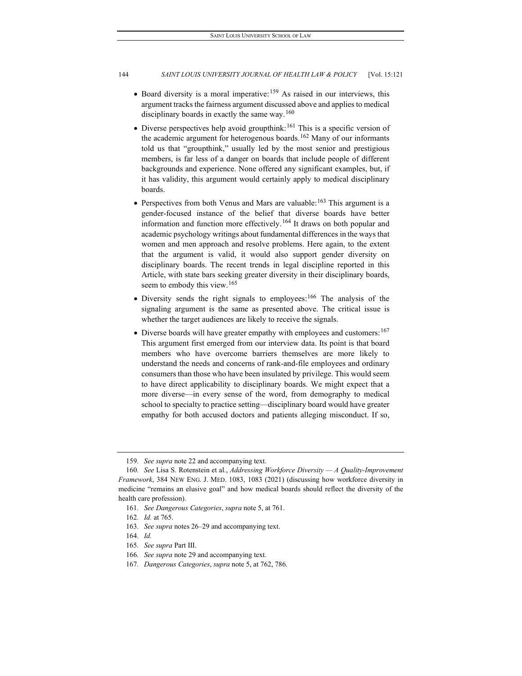- Board diversity is a moral imperative:  $159$  As raised in our interviews, this argument tracks the fairness argument discussed above and applies to medical disciplinary boards in exactly the same way.<sup>[160](#page-24-1)</sup>
- $\bullet$  Diverse perspectives help avoid groupthink:<sup>[161](#page-24-2)</sup> This is a specific version of the academic argument for heterogenous boards.<sup>[162](#page-24-3)</sup> Many of our informants told us that "groupthink," usually led by the most senior and prestigious members, is far less of a danger on boards that include people of different backgrounds and experience. None offered any significant examples, but, if it has validity, this argument would certainly apply to medical disciplinary boards.
- Perspectives from both Venus and Mars are valuable:  $163$  This argument is a gender-focused instance of the belief that diverse boards have better information and function more effectively.<sup>[164](#page-24-5)</sup> It draws on both popular and academic psychology writings about fundamental differences in the ways that women and men approach and resolve problems. Here again, to the extent that the argument is valid, it would also support gender diversity on disciplinary boards. The recent trends in legal discipline reported in this Article, with state bars seeking greater diversity in their disciplinary boards, seem to embody this view.[165](#page-24-6)
- Diversity sends the right signals to employees:[166](#page-24-7) The analysis of the signaling argument is the same as presented above. The critical issue is whether the target audiences are likely to receive the signals.
- Diverse boards will have greater empathy with employees and customers:  $167$ This argument first emerged from our interview data. Its point is that board members who have overcome barriers themselves are more likely to understand the needs and concerns of rank-and-file employees and ordinary consumers than those who have been insulated by privilege. This would seem to have direct applicability to disciplinary boards. We might expect that a more diverse—in every sense of the word, from demography to medical school to specialty to practice setting—disciplinary board would have greater empathy for both accused doctors and patients alleging misconduct. If so,

<sup>159</sup>*. See supra* note 22 and accompanying text.

<span id="page-24-2"></span><span id="page-24-1"></span><span id="page-24-0"></span><sup>160</sup>*. See* Lisa S. Rotenstein et al., *Addressing Workforce Diversity — A Quality-Improvement Framework*, 384 NEW ENG. J. MED. 1083, 1083 (2021) (discussing how workforce diversity in medicine "remains an elusive goal" and how medical boards should reflect the diversity of the health care profession).

<sup>161</sup>*. See Dangerous Categories*, *supra* note 5, at 761.

<sup>162</sup>*. Id.* at 765.

<span id="page-24-4"></span><span id="page-24-3"></span><sup>163</sup>*. See supra* notes 26–29 and accompanying text.

<span id="page-24-5"></span><sup>164</sup>*. Id.*

<span id="page-24-6"></span><sup>165</sup>*. See supra* Part III.

<span id="page-24-8"></span><span id="page-24-7"></span><sup>166</sup>*. See supra* note 29 and accompanying text.

<sup>167</sup>*. Dangerous Categories*, *supra* note 5, at 762, 786.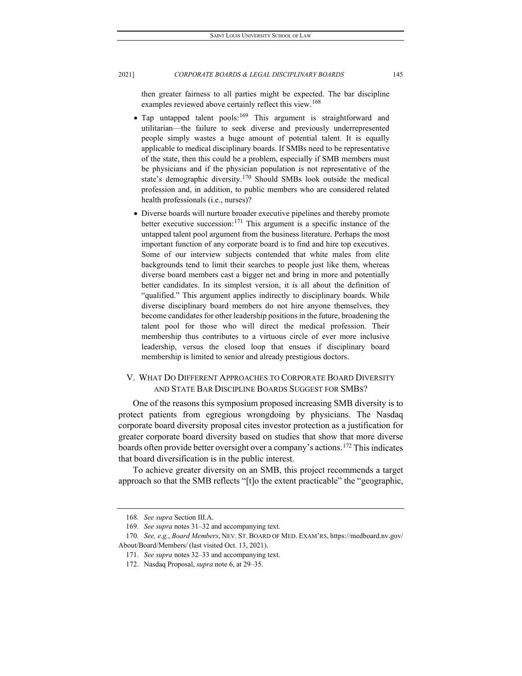then greater fairness to all parties might be expected. The bar discipline examples reviewed above certainly reflect this view.<sup>[168](#page-25-0)</sup>

- Tap untapped talent pools:<sup>[169](#page-25-1)</sup> This argument is straightforward and utilitarian—the failure to seek diverse and previously underrepresented people simply wastes a huge amount of potential talent. It is equally applicable to medical disciplinary boards. If SMBs need to be representative of the state, then this could be a problem, especially if SMB members must be physicians and if the physician population is not representative of the state's demographic diversity.[170](#page-25-2) Should SMBs look outside the medical profession and, in addition, to public members who are considered related health professionals (i.e., nurses)?
- Diverse boards will nurture broader executive pipelines and thereby promote better executive succession:<sup>[171](#page-25-3)</sup> This argument is a specific instance of the untapped talent pool argument from the business literature. Perhaps the most important function of any corporate board is to find and hire top executives. Some of our interview subjects contended that white males from elite backgrounds tend to limit their searches to people just like them, whereas diverse board members cast a bigger net and bring in more and potentially better candidates. In its simplest version, it is all about the definition of "qualified." This argument applies indirectly to disciplinary boards. While diverse disciplinary board members do not hire anyone themselves, they become candidates for other leadership positions in the future, broadening the talent pool for those who will direct the medical profession. Their membership thus contributes to a virtuous circle of ever more inclusive leadership, versus the closed loop that ensues if disciplinary board membership is limited to senior and already prestigious doctors.

# V. WHAT DO DIFFERENT APPROACHES TO CORPORATE BOARD DIVERSITY AND STATE BAR DISCIPLINE BOARDS SUGGEST FOR SMBS?

One of the reasons this symposium proposed increasing SMB diversity is to protect patients from egregious wrongdoing by physicians. The Nasdaq corporate board diversity proposal cites investor protection as a justification for greater corporate board diversity based on studies that show that more diverse boards often provide better oversight over a company's actions.<sup>[172](#page-25-4)</sup> This indicates that board diversification is in the public interest.

To achieve greater diversity on an SMB, this project recommends a target approach so that the SMB reflects "[t]o the extent practicable" the "geographic,

<sup>168</sup>*. See supra* Section III.A.

<sup>169</sup>*. See supra* notes 31–32 and accompanying text.

<span id="page-25-4"></span><span id="page-25-3"></span><span id="page-25-2"></span><span id="page-25-1"></span><span id="page-25-0"></span><sup>170</sup>*. See, e.g.*, *Board Members*, NEV. ST. BOARD OF MED. EXAM'RS, https://medboard.nv.gov/ About/Board/Members/ (last visited Oct. 13, 2021).

<sup>171</sup>*. See supra* notes 32–33 and accompanying text.

<sup>172.</sup> Nasdaq Proposal, *supra* note 6, at 29–35.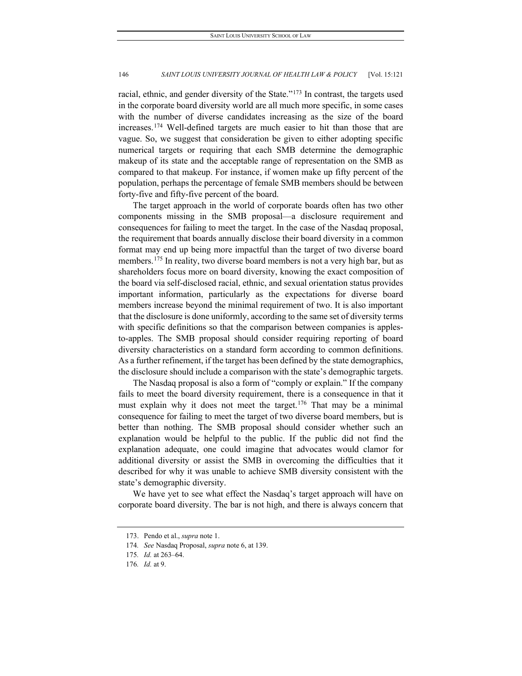racial, ethnic, and gender diversity of the State."<sup>[173](#page-26-0)</sup> In contrast, the targets used in the corporate board diversity world are all much more specific, in some cases with the number of diverse candidates increasing as the size of the board increases.[174](#page-26-1) Well-defined targets are much easier to hit than those that are vague. So, we suggest that consideration be given to either adopting specific numerical targets or requiring that each SMB determine the demographic makeup of its state and the acceptable range of representation on the SMB as compared to that makeup. For instance, if women make up fifty percent of the population, perhaps the percentage of female SMB members should be between forty-five and fifty-five percent of the board.

The target approach in the world of corporate boards often has two other components missing in the SMB proposal—a disclosure requirement and consequences for failing to meet the target. In the case of the Nasdaq proposal, the requirement that boards annually disclose their board diversity in a common format may end up being more impactful than the target of two diverse board members.<sup>[175](#page-26-2)</sup> In reality, two diverse board members is not a very high bar, but as shareholders focus more on board diversity, knowing the exact composition of the board via self-disclosed racial, ethnic, and sexual orientation status provides important information, particularly as the expectations for diverse board members increase beyond the minimal requirement of two. It is also important that the disclosure is done uniformly, according to the same set of diversity terms with specific definitions so that the comparison between companies is applesto-apples. The SMB proposal should consider requiring reporting of board diversity characteristics on a standard form according to common definitions. As a further refinement, if the target has been defined by the state demographics, the disclosure should include a comparison with the state's demographic targets.

The Nasdaq proposal is also a form of "comply or explain." If the company fails to meet the board diversity requirement, there is a consequence in that it must explain why it does not meet the target.<sup>[176](#page-26-3)</sup> That may be a minimal consequence for failing to meet the target of two diverse board members, but is better than nothing. The SMB proposal should consider whether such an explanation would be helpful to the public. If the public did not find the explanation adequate, one could imagine that advocates would clamor for additional diversity or assist the SMB in overcoming the difficulties that it described for why it was unable to achieve SMB diversity consistent with the state's demographic diversity.

<span id="page-26-0"></span>We have yet to see what effect the Nasdaq's target approach will have on corporate board diversity. The bar is not high, and there is always concern that

<sup>173.</sup> Pendo et al., *supra* note 1.

<span id="page-26-1"></span><sup>174</sup>*. See* Nasdaq Proposal, *supra* note 6, at 139.

<span id="page-26-3"></span><span id="page-26-2"></span><sup>175</sup>*. Id.* at 263–64.

<sup>176</sup>*. Id.* at 9.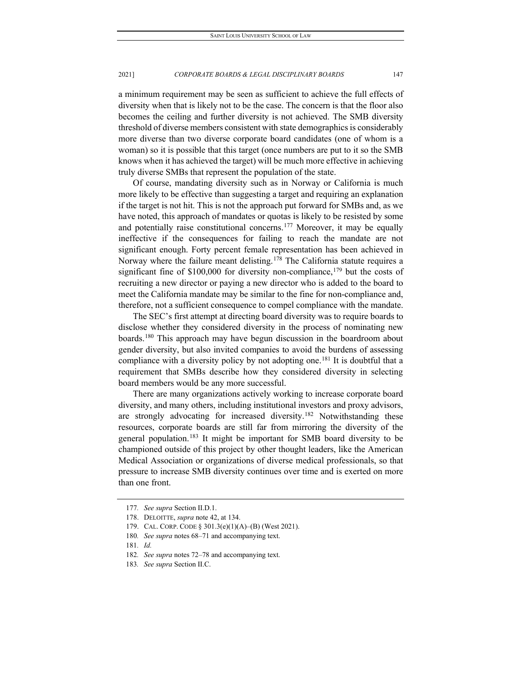a minimum requirement may be seen as sufficient to achieve the full effects of diversity when that is likely not to be the case. The concern is that the floor also becomes the ceiling and further diversity is not achieved. The SMB diversity threshold of diverse members consistent with state demographics is considerably more diverse than two diverse corporate board candidates (one of whom is a woman) so it is possible that this target (once numbers are put to it so the SMB knows when it has achieved the target) will be much more effective in achieving truly diverse SMBs that represent the population of the state.

Of course, mandating diversity such as in Norway or California is much more likely to be effective than suggesting a target and requiring an explanation if the target is not hit. This is not the approach put forward for SMBs and, as we have noted, this approach of mandates or quotas is likely to be resisted by some and potentially raise constitutional concerns.<sup>[177](#page-27-0)</sup> Moreover, it may be equally ineffective if the consequences for failing to reach the mandate are not significant enough. Forty percent female representation has been achieved in Norway where the failure meant delisting.<sup>[178](#page-27-1)</sup> The California statute requires a significant fine of \$100,000 for diversity non-compliance,<sup>[179](#page-27-2)</sup> but the costs of recruiting a new director or paying a new director who is added to the board to meet the California mandate may be similar to the fine for non-compliance and, therefore, not a sufficient consequence to compel compliance with the mandate.

The SEC's first attempt at directing board diversity was to require boards to disclose whether they considered diversity in the process of nominating new boards.[180](#page-27-3) This approach may have begun discussion in the boardroom about gender diversity, but also invited companies to avoid the burdens of assessing compliance with a diversity policy by not adopting one.<sup>[181](#page-27-4)</sup> It is doubtful that a requirement that SMBs describe how they considered diversity in selecting board members would be any more successful.

There are many organizations actively working to increase corporate board diversity, and many others, including institutional investors and proxy advisors, are strongly advocating for increased diversity[.182](#page-27-5) Notwithstanding these resources, corporate boards are still far from mirroring the diversity of the general population.<sup>[183](#page-27-6)</sup> It might be important for SMB board diversity to be championed outside of this project by other thought leaders, like the American Medical Association or organizations of diverse medical professionals, so that pressure to increase SMB diversity continues over time and is exerted on more than one front.

<span id="page-27-0"></span><sup>177</sup>*. See supra* Section II.D.1.

<span id="page-27-1"></span><sup>178.</sup> DELOITTE, *supra* note 42, at 134.

<span id="page-27-3"></span><span id="page-27-2"></span><sup>179.</sup> CAL. CORP. CODE § 301.3(e)(1)(A)–(B) (West 2021).

<sup>180</sup>*. See supra* notes 68–71 and accompanying text.

<span id="page-27-4"></span><sup>181</sup>*. Id.*

<span id="page-27-6"></span><span id="page-27-5"></span><sup>182</sup>*. See supra* notes 72–78 and accompanying text.

<sup>183</sup>*. See supra* Section II.C.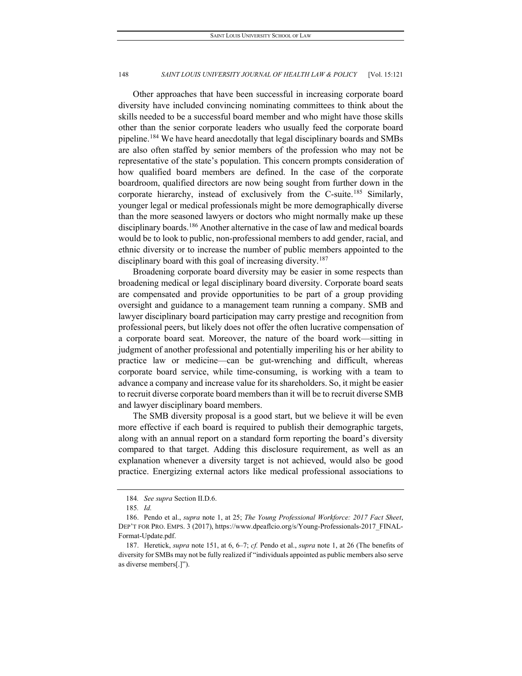Other approaches that have been successful in increasing corporate board diversity have included convincing nominating committees to think about the skills needed to be a successful board member and who might have those skills other than the senior corporate leaders who usually feed the corporate board pipeline.[184](#page-28-0) We have heard anecdotally that legal disciplinary boards and SMBs are also often staffed by senior members of the profession who may not be representative of the state's population. This concern prompts consideration of how qualified board members are defined. In the case of the corporate boardroom, qualified directors are now being sought from further down in the corporate hierarchy, instead of exclusively from the C-suite.[185](#page-28-1) Similarly, younger legal or medical professionals might be more demographically diverse than the more seasoned lawyers or doctors who might normally make up these disciplinary boards.<sup>[186](#page-28-2)</sup> Another alternative in the case of law and medical boards would be to look to public, non-professional members to add gender, racial, and ethnic diversity or to increase the number of public members appointed to the disciplinary board with this goal of increasing diversity.<sup>[187](#page-28-3)</sup>

Broadening corporate board diversity may be easier in some respects than broadening medical or legal disciplinary board diversity. Corporate board seats are compensated and provide opportunities to be part of a group providing oversight and guidance to a management team running a company. SMB and lawyer disciplinary board participation may carry prestige and recognition from professional peers, but likely does not offer the often lucrative compensation of a corporate board seat. Moreover, the nature of the board work—sitting in judgment of another professional and potentially imperiling his or her ability to practice law or medicine—can be gut-wrenching and difficult, whereas corporate board service, while time-consuming, is working with a team to advance a company and increase value for its shareholders. So, it might be easier to recruit diverse corporate board members than it will be to recruit diverse SMB and lawyer disciplinary board members.

The SMB diversity proposal is a good start, but we believe it will be even more effective if each board is required to publish their demographic targets, along with an annual report on a standard form reporting the board's diversity compared to that target. Adding this disclosure requirement, as well as an explanation whenever a diversity target is not achieved, would also be good practice. Energizing external actors like medical professional associations to

<sup>184</sup>*. See supra* Section II.D.6.

<sup>185</sup>*. Id.*

<span id="page-28-2"></span><span id="page-28-1"></span><span id="page-28-0"></span><sup>186.</sup> Pendo et al., *supra* note 1, at 25; *The Young Professional Workforce: 2017 Fact Sheet*, DEP'T FOR PRO. EMPS. 3 (2017), https://www.dpeaflcio.org/s/Young-Professionals-2017\_FINAL-Format-Update.pdf.

<span id="page-28-3"></span><sup>187.</sup> Heretick, *supra* note 151, at 6, 6–7; *cf.* Pendo et al., *supra* note 1, at 26 (The benefits of diversity for SMBs may not be fully realized if "individuals appointed as public members also serve as diverse members[.]").